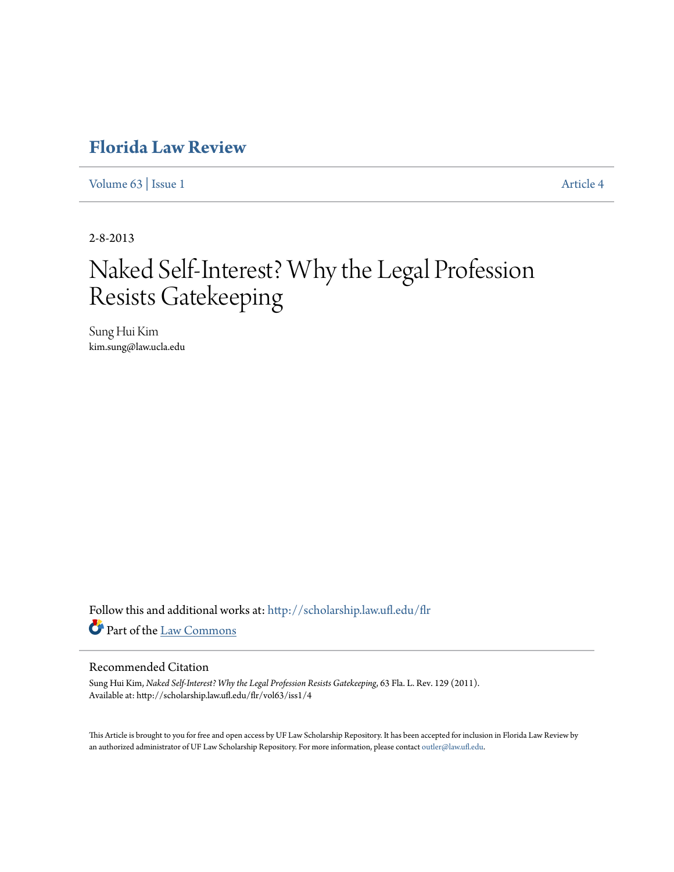## **[Florida Law Review](http://scholarship.law.ufl.edu/flr?utm_source=scholarship.law.ufl.edu%2Fflr%2Fvol63%2Fiss1%2F4&utm_medium=PDF&utm_campaign=PDFCoverPages)**

[Volume 63](http://scholarship.law.ufl.edu/flr/vol63?utm_source=scholarship.law.ufl.edu%2Fflr%2Fvol63%2Fiss1%2F4&utm_medium=PDF&utm_campaign=PDFCoverPages) | [Issue 1](http://scholarship.law.ufl.edu/flr/vol63/iss1?utm_source=scholarship.law.ufl.edu%2Fflr%2Fvol63%2Fiss1%2F4&utm_medium=PDF&utm_campaign=PDFCoverPages) [Article 4](http://scholarship.law.ufl.edu/flr/vol63/iss1/4?utm_source=scholarship.law.ufl.edu%2Fflr%2Fvol63%2Fiss1%2F4&utm_medium=PDF&utm_campaign=PDFCoverPages)

2-8-2013

# Naked Self-Interest? Why the Legal Profession Resists Gatekeeping

Sung Hui Kim kim.sung@law.ucla.edu

Follow this and additional works at: [http://scholarship.law.ufl.edu/flr](http://scholarship.law.ufl.edu/flr?utm_source=scholarship.law.ufl.edu%2Fflr%2Fvol63%2Fiss1%2F4&utm_medium=PDF&utm_campaign=PDFCoverPages) Part of the [Law Commons](http://network.bepress.com/hgg/discipline/578?utm_source=scholarship.law.ufl.edu%2Fflr%2Fvol63%2Fiss1%2F4&utm_medium=PDF&utm_campaign=PDFCoverPages)

## Recommended Citation

Sung Hui Kim, *Naked Self-Interest? Why the Legal Profession Resists Gatekeeping*, 63 Fla. L. Rev. 129 (2011). Available at: http://scholarship.law.ufl.edu/flr/vol63/iss1/4

This Article is brought to you for free and open access by UF Law Scholarship Repository. It has been accepted for inclusion in Florida Law Review by an authorized administrator of UF Law Scholarship Repository. For more information, please contact [outler@law.ufl.edu](mailto:outler@law.ufl.edu).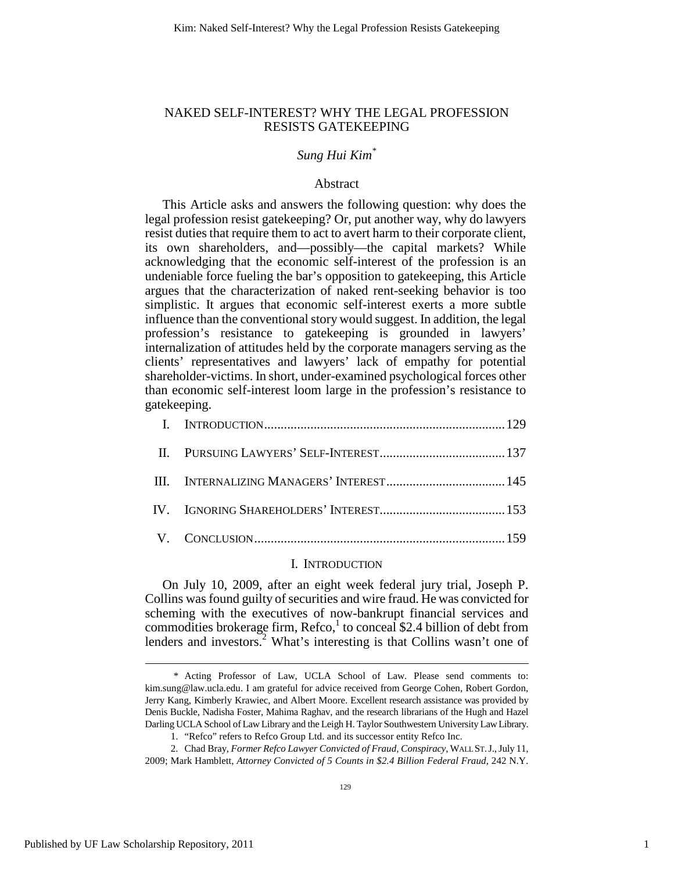## NAKED SELF-INTEREST? WHY THE LEGAL PROFESSION RESISTS GATEKEEPING

## *Sung Hui Kim\**

## Abstract

This Article asks and answers the following question: why does the legal profession resist gatekeeping? Or, put another way, why do lawyers resist duties that require them to act to avert harm to their corporate client, its own shareholders, and—possibly—the capital markets? While acknowledging that the economic self-interest of the profession is an undeniable force fueling the bar's opposition to gatekeeping, this Article argues that the characterization of naked rent-seeking behavior is too simplistic. It argues that economic self-interest exerts a more subtle influence than the conventional story would suggest. In addition, the legal profession's resistance to gatekeeping is grounded in lawyers' internalization of attitudes held by the corporate managers serving as the clients' representatives and lawyers' lack of empathy for potential shareholder-victims. In short, under-examined psychological forces other than economic self-interest loom large in the profession's resistance to gatekeeping.

## I. INTRODUCTION

On July 10, 2009, after an eight week federal jury trial, Joseph P. Collins was found guilty of securities and wire fraud. He was convicted for scheming with the executives of now-bankrupt financial services and commodities brokerage firm,  $\text{Refco}$ , to conceal \$2.4 billion of debt from lenders and investors.<sup>2</sup> What's interesting is that Collins wasn't one of

 <sup>\*</sup> Acting Professor of Law, UCLA School of Law. Please send comments to: kim.sung@law.ucla.edu. I am grateful for advice received from George Cohen, Robert Gordon, Jerry Kang, Kimberly Krawiec, and Albert Moore. Excellent research assistance was provided by Denis Buckle, Nadisha Foster, Mahima Raghav, and the research librarians of the Hugh and Hazel Darling UCLA School of Law Library and the Leigh H. Taylor Southwestern University Law Library.

 <sup>1. &</sup>quot;Refco" refers to Refco Group Ltd. and its successor entity Refco Inc.

 <sup>2.</sup> Chad Bray, *Former Refco Lawyer Convicted of Fraud, Conspiracy*, WALL ST.J., July 11, 2009; Mark Hamblett, *Attorney Convicted of 5 Counts in \$2.4 Billion Federal Fraud*, 242 N.Y.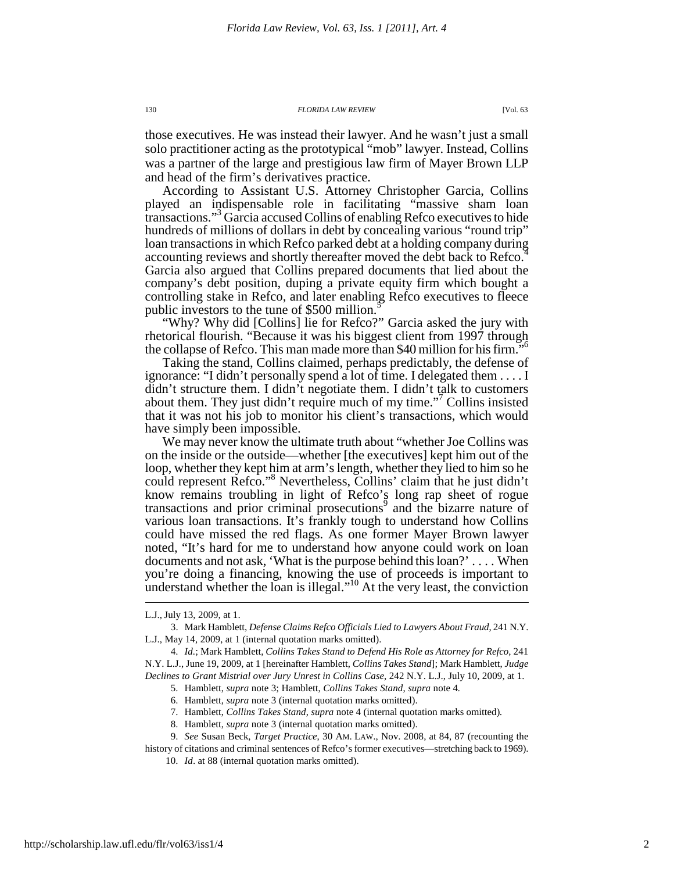those executives. He was instead their lawyer. And he wasn't just a small solo practitioner acting as the prototypical "mob" lawyer. Instead, Collins was a partner of the large and prestigious law firm of Mayer Brown LLP and head of the firm's derivatives practice.

According to Assistant U.S. Attorney Christopher Garcia, Collins played an indispensable role in facilitating "massive sham loan transactions."<sup>3</sup> Garcia accused Collins of enabling Refco executives to hide hundreds of millions of dollars in debt by concealing various "round trip" loan transactions in which Refco parked debt at a holding company during accounting reviews and shortly thereafter moved the debt back to Refco.<sup>4</sup> Garcia also argued that Collins prepared documents that lied about the company's debt position, duping a private equity firm which bought a controlling stake in Refco, and later enabling Refco executives to fleece public investors to the tune of \$500 million.<sup>5</sup>

"Why? Why did [Collins] lie for Refco?" Garcia asked the jury with rhetorical flourish. "Because it was his biggest client from 1997 through the collapse of Refco. This man made more than \$40 million for his firm."<sup>6</sup>

Taking the stand, Collins claimed, perhaps predictably, the defense of ignorance: "I didn't personally spend a lot of time. I delegated them . . . . I didn't structure them. I didn't negotiate them. I didn't talk to customers about them. They just didn't require much of my time."<sup>7</sup> Collins insisted that it was not his job to monitor his client's transactions, which would have simply been impossible.

We may never know the ultimate truth about "whether Joe Collins was on the inside or the outside—whether [the executives] kept him out of the loop, whether they kept him at arm's length, whether they lied to him so he could represent Refco."<sup>8</sup> Nevertheless, Collins' claim that he just didn't know remains troubling in light of Refco's long rap sheet of rogue transactions and prior criminal prosecutions<sup>9</sup> and the bizarre nature of various loan transactions. It's frankly tough to understand how Collins could have missed the red flags. As one former Mayer Brown lawyer noted, "It's hard for me to understand how anyone could work on loan documents and not ask, 'What is the purpose behind this loan?' . . . . When you're doing a financing, knowing the use of proceeds is important to understand whether the loan is illegal."<sup>10</sup> At the very least, the conviction

 $\overline{a}$ 

8. Hamblett, *supra* note 3 (internal quotation marks omitted).

history of citations and criminal sentences of Refco's former executives—stretching back to 1969). 10. *Id*. at 88 (internal quotation marks omitted).

L.J., July 13, 2009, at 1.

 <sup>3.</sup> Mark Hamblett, *Defense Claims Refco Officials Lied to Lawyers About Fraud*, 241 N.Y. L.J., May 14, 2009, at 1 (internal quotation marks omitted).

 <sup>4.</sup> *Id.*; Mark Hamblett, *Collins Takes Stand to Defend His Role as Attorney for Refco*, 241 N.Y. L.J., June 19, 2009, at 1 [hereinafter Hamblett, *Collins Takes Stand*]; Mark Hamblett, *Judge Declines to Grant Mistrial over Jury Unrest in Collins Case*, 242 N.Y. L.J., July 10, 2009, at 1.

 <sup>5.</sup> Hamblett, *supra* note 3; Hamblett, *Collins Takes Stand*, *supra* note 4*.*

 <sup>6.</sup> Hamblett, *supra* note 3 (internal quotation marks omitted).

 <sup>7.</sup> Hamblett, *Collins Takes Stand*, *supra* note 4 (internal quotation marks omitted)*.*

 <sup>9.</sup> *See* Susan Beck, *Target Practice*, 30 AM. LAW., Nov. 2008, at 84, 87 (recounting the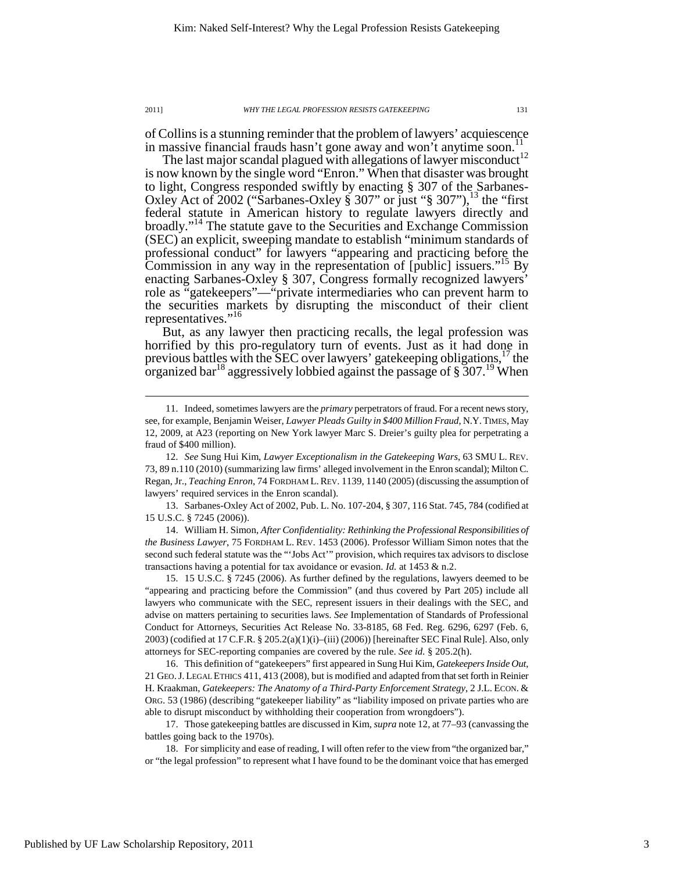of Collins is a stunning reminder that the problem of lawyers' acquiescence in massive financial frauds hasn't gone away and won't anytime soon.<sup>11</sup>

The last major scandal plagued with allegations of lawyer misconduct<sup>12</sup> is now known by the single word "Enron." When that disaster was brought to light, Congress responded swiftly by enacting § 307 of the Sarbanes-Oxley Act of 2002 ("Sarbanes-Oxley § 307" or just "§ 307"), $^{13}$  the "first federal statute in American history to regulate lawyers directly and broadly."<sup>14</sup> The statute gave to the Securities and Exchange Commission (SEC) an explicit, sweeping mandate to establish "minimum standards of professional conduct" for lawyers "appearing and practicing before the Commission in any way in the representation of [public] issuers."<sup>15</sup> By enacting Sarbanes-Oxley § 307, Congress formally recognized lawyers' role as "gatekeepers"—"private intermediaries who can prevent harm to the securities markets by disrupting the misconduct of their client representatives."<sup>16</sup>

But, as any lawyer then practicing recalls, the legal profession was horrified by this pro-regulatory turn of events. Just as it had done in previous battles with the SEC over lawyers' gate keeping obligations,  $17$  the organized bar<sup>18</sup> aggressively lobbied against the passage of  $\S$  307.<sup>19</sup> When

 13. Sarbanes-Oxley Act of 2002, Pub. L. No. 107-204, § 307, 116 Stat. 745, 784 (codified at 15 U.S.C. § 7245 (2006)).

 14. William H. Simon, *After Confidentiality: Rethinking the Professional Responsibilities of the Business Lawyer*, 75 FORDHAM L. REV. 1453 (2006). Professor William Simon notes that the second such federal statute was the "'Jobs Act'" provision, which requires tax advisors to disclose transactions having a potential for tax avoidance or evasion. *Id.* at 1453 & n.2.

 15. 15 U.S.C. § 7245 (2006). As further defined by the regulations, lawyers deemed to be "appearing and practicing before the Commission" (and thus covered by Part 205) include all lawyers who communicate with the SEC, represent issuers in their dealings with the SEC, and advise on matters pertaining to securities laws. *See* Implementation of Standards of Professional Conduct for Attorneys, Securities Act Release No. 33-8185, 68 Fed. Reg. 6296, 6297 (Feb. 6, 2003) (codified at 17 C.F.R. § 205.2(a)(1)(i)–(iii) (2006)) [hereinafter SEC Final Rule]. Also, only attorneys for SEC-reporting companies are covered by the rule. *See id.* § 205.2(h).

 16. This definition of "gatekeepers" first appeared in Sung Hui Kim, *Gatekeepers Inside Out*, 21 GEO.J. LEGAL ETHICS 411, 413 (2008), but is modified and adapted from that set forth in Reinier H. Kraakman, *Gatekeepers: The Anatomy of a Third-Party Enforcement Strategy*, 2 J.L. ECON. & ORG. 53 (1986) (describing "gatekeeper liability" as "liability imposed on private parties who are able to disrupt misconduct by withholding their cooperation from wrongdoers").

 17. Those gatekeeping battles are discussed in Kim, *supra* note 12, at 77–93 (canvassing the battles going back to the 1970s).

 18. For simplicity and ease of reading, I will often refer to the view from "the organized bar," or "the legal profession" to represent what I have found to be the dominant voice that has emerged

 <sup>11.</sup> Indeed, sometimes lawyers are the *primary* perpetrators of fraud. For a recent news story, see, for example, Benjamin Weiser, *Lawyer Pleads Guilty in \$400 Million Fraud*, N.Y.TIMES, May 12, 2009, at A23 (reporting on New York lawyer Marc S. Dreier's guilty plea for perpetrating a fraud of \$400 million).

 <sup>12.</sup> *See* Sung Hui Kim, *Lawyer Exceptionalism in the Gatekeeping Wars*, 63 SMU L. REV. 73, 89 n.110 (2010) (summarizing law firms' alleged involvement in the Enron scandal); Milton C. Regan, Jr., *Teaching Enron*, 74 FORDHAM L.REV. 1139, 1140 (2005) (discussing the assumption of lawyers' required services in the Enron scandal).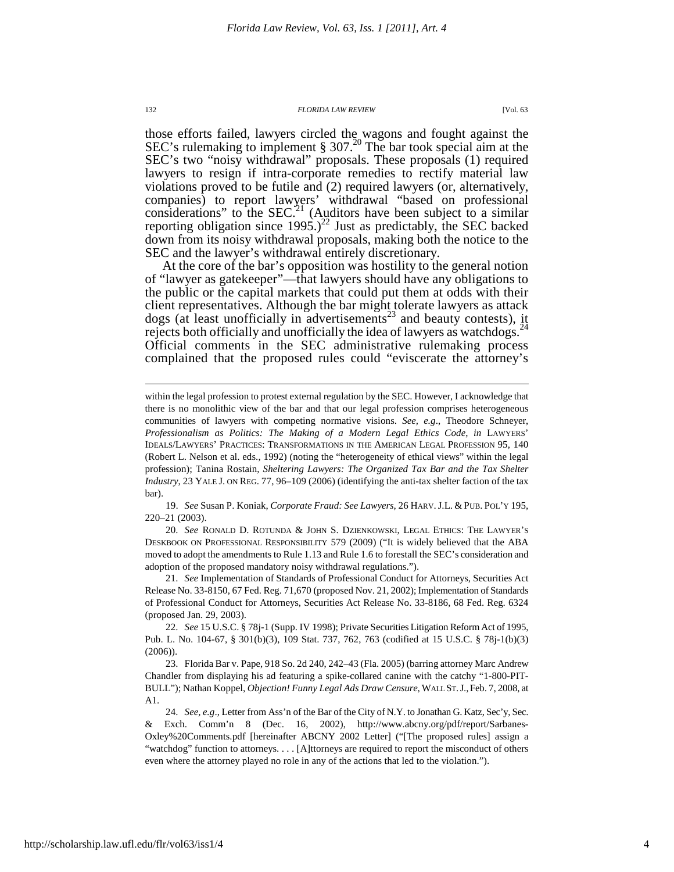those efforts failed, lawyers circled the wagons and fought against the SEC's rulemaking to implement  $\S 307<sup>20</sup>$  The bar took special aim at the SEC's two "noisy withdrawal" proposals. These proposals (1) required lawyers to resign if intra-corporate remedies to rectify material law violations proved to be futile and (2) required lawyers (or, alternatively, companies) to report lawyers' withdrawal "based on professional considerations" to the SEC.<sup>21</sup> (Auditors have been subject to a similar reporting obligation since  $1995.$ )<sup>22</sup> Just as predictably, the SEC backed down from its noisy withdrawal proposals, making both the notice to the SEC and the lawyer's withdrawal entirely discretionary.

At the core of the bar's opposition was hostility to the general notion of "lawyer as gatekeeper"—that lawyers should have any obligations to the public or the capital markets that could put them at odds with their client representatives. Although the bar might tolerate lawyers as attack dogs (at least unofficially in advertisements<sup>23</sup> and beauty contests), it rejects both officially and unofficially the idea of lawyers as watchdogs.<sup>24</sup> Official comments in the SEC administrative rulemaking process complained that the proposed rules could "eviscerate the attorney's

 19. *See* Susan P. Koniak, *Corporate Fraud: See Lawyers*, 26 HARV.J.L. & PUB. POL'Y 195, 220–21 (2003).

 20. *See* RONALD D. ROTUNDA & JOHN S. DZIENKOWSKI, LEGAL ETHICS: THE LAWYER'S DESKBOOK ON PROFESSIONAL RESPONSIBILITY 579 (2009) ("It is widely believed that the ABA moved to adopt the amendments to Rule 1.13 and Rule 1.6 to forestall the SEC's consideration and adoption of the proposed mandatory noisy withdrawal regulations.").

 21. *See* Implementation of Standards of Professional Conduct for Attorneys, Securities Act Release No. 33-8150, 67 Fed. Reg. 71,670 (proposed Nov. 21, 2002); Implementation of Standards of Professional Conduct for Attorneys, Securities Act Release No. 33-8186, 68 Fed. Reg. 6324 (proposed Jan. 29, 2003).

 22. *See* 15 U.S.C. § 78j-1 (Supp. IV 1998); Private Securities Litigation Reform Act of 1995, Pub. L. No. 104-67, § 301(b)(3), 109 Stat. 737, 762, 763 (codified at 15 U.S.C. § 78j-1(b)(3) (2006)).

 23. Florida Bar v. Pape, 918 So. 2d 240, 242–43 (Fla. 2005) (barring attorney Marc Andrew Chandler from displaying his ad featuring a spike-collared canine with the catchy "1-800-PIT-BULL"); Nathan Koppel, *Objection! Funny Legal Ads Draw Censure*, WALL ST.J.,Feb. 7, 2008, at A1.

 24. *See, e.g*., Letter from Ass'n of the Bar of the City of N.Y. to Jonathan G. Katz, Sec'y, Sec. & Exch. Comm'n 8 (Dec. 16, 2002), http://www.abcny.org/pdf/report/Sarbanes-Oxley%20Comments.pdf [hereinafter ABCNY 2002 Letter] ("[The proposed rules] assign a "watchdog" function to attorneys. . . . [A]ttorneys are required to report the misconduct of others even where the attorney played no role in any of the actions that led to the violation.").

within the legal profession to protest external regulation by the SEC. However, I acknowledge that there is no monolithic view of the bar and that our legal profession comprises heterogeneous communities of lawyers with competing normative visions. *See, e.g*., Theodore Schneyer, *Professionalism as Politics: The Making of a Modern Legal Ethics Code*, *in* LAWYERS' IDEALS/LAWYERS' PRACTICES: TRANSFORMATIONS IN THE AMERICAN LEGAL PROFESSION 95, 140 (Robert L. Nelson et al. eds., 1992) (noting the "heterogeneity of ethical views" within the legal profession); Tanina Rostain, *Sheltering Lawyers: The Organized Tax Bar and the Tax Shelter Industry*, 23 YALE J. ON REG. 77, 96–109 (2006) (identifying the anti-tax shelter faction of the tax bar).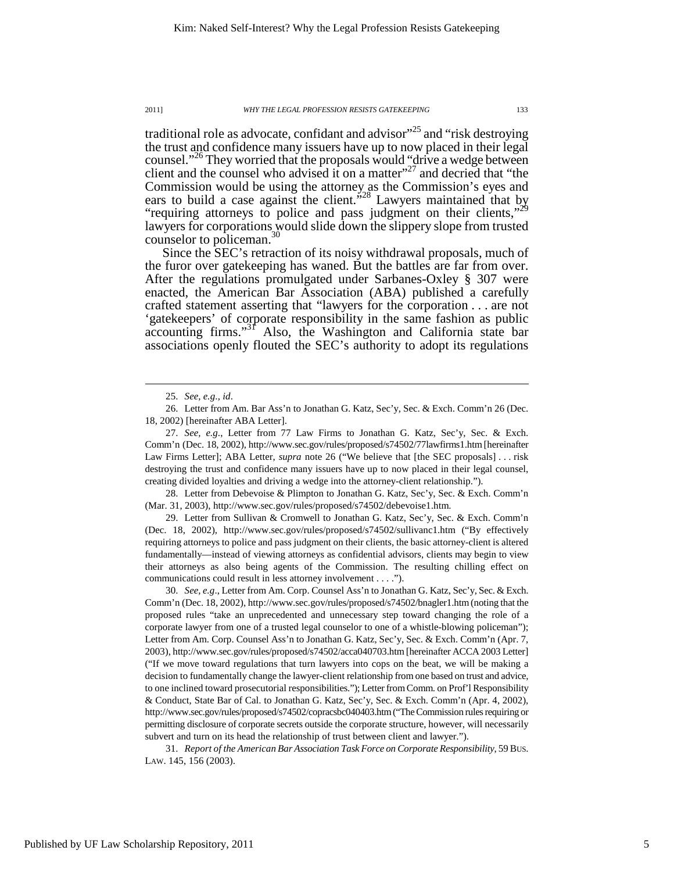traditional role as advocate, confidant and advisor"<sup>25</sup> and "risk destroying the trust and confidence many issuers have up to now placed in their legal counsel."<sup>26</sup> They worried that the proposals would "drive a wedge between client and the counsel who advised it on a matter $^{27}$  and decried that "the Commission would be using the attorney as the Commission's eyes and ears to build a case against the client.<sup>528</sup> Lawyers maintained that by "requiring attorneys to police and pass judgment on their clients,"<sup>29</sup> lawyers for corporations would slide down the slippery slope from trusted counselor to policeman.<sup>30</sup>

Since the SEC's retraction of its noisy withdrawal proposals, much of the furor over gatekeeping has waned. But the battles are far from over. After the regulations promulgated under Sarbanes-Oxley § 307 were enacted, the American Bar Association (ABA) published a carefully crafted statement asserting that "lawyers for the corporation . . . are not 'gatekeepers' of corporate responsibility in the same fashion as public accounting firms."<sup>31</sup> Also, the Washington and California state bar associations openly flouted the SEC's authority to adopt its regulations

 $\overline{a}$ 

 28. Letter from Debevoise & Plimpton to Jonathan G. Katz, Sec'y, Sec. & Exch. Comm'n (Mar. 31, 2003), http://www.sec.gov/rules/proposed/s74502/debevoise1.htm.

 29. Letter from Sullivan & Cromwell to Jonathan G. Katz, Sec'y, Sec. & Exch. Comm'n (Dec. 18, 2002), http://www.sec.gov/rules/proposed/s74502/sullivanc1.htm ("By effectively requiring attorneys to police and pass judgment on their clients, the basic attorney-client is altered fundamentally—instead of viewing attorneys as confidential advisors, clients may begin to view their attorneys as also being agents of the Commission. The resulting chilling effect on communications could result in less attorney involvement . . . .").

 30. *See, e.g*., Letter from Am. Corp. Counsel Ass'n to Jonathan G. Katz, Sec'y, Sec. & Exch. Comm'n (Dec. 18, 2002), http://www.sec.gov/rules/proposed/s74502/bnagler1.htm (noting that the proposed rules "take an unprecedented and unnecessary step toward changing the role of a corporate lawyer from one of a trusted legal counselor to one of a whistle-blowing policeman"); Letter from Am. Corp. Counsel Ass'n to Jonathan G. Katz, Sec'y, Sec. & Exch. Comm'n (Apr. 7, 2003), http://www.sec.gov/rules/proposed/s74502/acca040703.htm [hereinafter ACCA 2003 Letter] ("If we move toward regulations that turn lawyers into cops on the beat, we will be making a decision to fundamentally change the lawyer-client relationship from one based on trust and advice, to one inclined toward prosecutorial responsibilities."); Letter from Comm. on Prof'l Responsibility & Conduct, State Bar of Cal. to Jonathan G. Katz, Sec'y, Sec. & Exch. Comm'n (Apr. 4, 2002), http://www.sec.gov/rules/proposed/s74502/copracsbc040403.htm ("The Commission rules requiring or permitting disclosure of corporate secrets outside the corporate structure, however, will necessarily subvert and turn on its head the relationship of trust between client and lawyer.").

 31. *Report of the American Bar Association Task Force on Corporate Responsibility*, 59 BUS. LAW. 145, 156 (2003).

 <sup>25.</sup> *See, e.g*., *id*.

 <sup>26.</sup> Letter from Am. Bar Ass'n to Jonathan G. Katz, Sec'y, Sec. & Exch. Comm'n 26 (Dec. 18, 2002) [hereinafter ABA Letter].

 <sup>27.</sup> *See, e.g*., Letter from 77 Law Firms to Jonathan G. Katz, Sec'y, Sec. & Exch. Comm'n (Dec. 18, 2002), http://www.sec.gov/rules/proposed/s74502/77lawfirms1.htm [hereinafter Law Firms Letter]; ABA Letter, *supra* note 26 ("We believe that [the SEC proposals] . . . risk destroying the trust and confidence many issuers have up to now placed in their legal counsel, creating divided loyalties and driving a wedge into the attorney-client relationship.").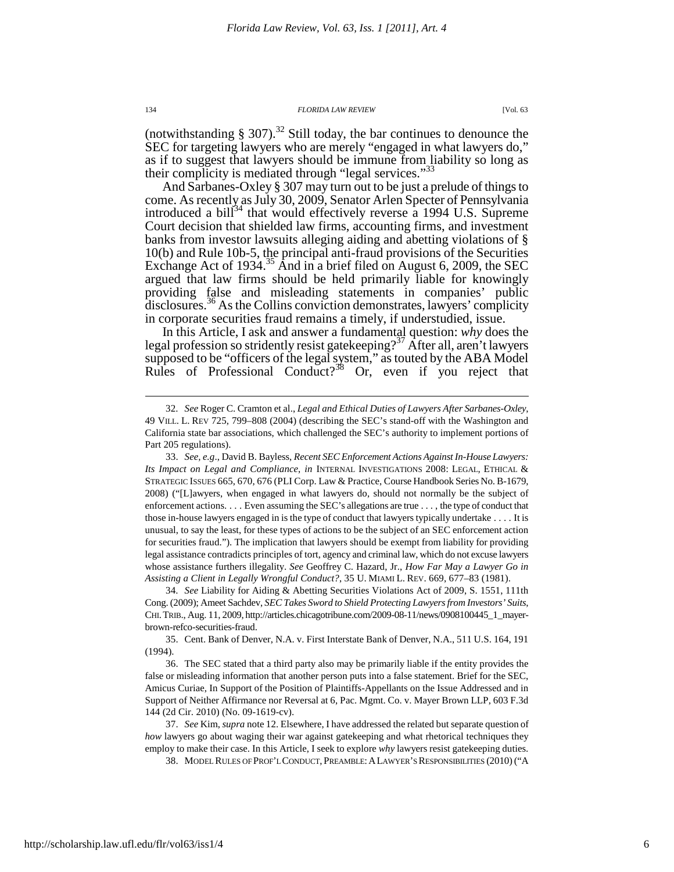(notwithstanding  $\S 307$ ).<sup>32</sup> Still today, the bar continues to denounce the SEC for targeting lawyers who are merely "engaged in what lawyers do," as if to suggest that lawyers should be immune from liability so long as their complicity is mediated through "legal services."<sup>33</sup>

And Sarbanes-Oxley § 307 may turn out to be just a prelude of things to come. As recently as July 30, 2009, Senator Arlen Specter of Pennsylvania introduced a bill<sup>34</sup> that would effectively reverse a 1994 U.S. Supreme Court decision that shielded law firms, accounting firms, and investment banks from investor lawsuits alleging aiding and abetting violations of § 10(b) and Rule 10b-5, the principal anti-fraud provisions of the Securities Exchange Act of 1934.<sup>35</sup> And in a brief filed on August 6, 2009, the SEC argued that law firms should be held primarily liable for knowingly providing false and misleading statements in companies' public disclosures.<sup>36</sup> As the Collins conviction demonstrates, lawyers' complicity in corporate securities fraud remains a timely, if understudied, issue.

In this Article, I ask and answer a fundamental question: *why* does the legal profession so stridently resist gatekeeping?<sup>37</sup> After all, aren't lawyers supposed to be "officers of the legal system," as touted by the ABA Model Rules of Professional Conduct? $3^8$  Or, even if you reject that

 34. *See* Liability for Aiding & Abetting Securities Violations Act of 2009, S. 1551, 111th Cong. (2009); Ameet Sachdev, *SEC Takes Sword to Shield Protecting Lawyers from Investors' Suits*, CHI.TRIB., Aug. 11, 2009, http://articles.chicagotribune.com/2009-08-11/news/0908100445\_1\_mayerbrown-refco-securities-fraud.

 35. Cent. Bank of Denver, N.A. v. First Interstate Bank of Denver, N.A., 511 U.S. 164, 191 (1994).

 36. The SEC stated that a third party also may be primarily liable if the entity provides the false or misleading information that another person puts into a false statement. Brief for the SEC, Amicus Curiae, In Support of the Position of Plaintiffs-Appellants on the Issue Addressed and in Support of Neither Affirmance nor Reversal at 6, Pac. Mgmt. Co. v. Mayer Brown LLP, 603 F.3d 144 (2d Cir. 2010) (No. 09-1619-cv).

 37. *See* Kim, *supra* note 12. Elsewhere, I have addressed the related but separate question of *how* lawyers go about waging their war against gatekeeping and what rhetorical techniques they employ to make their case. In this Article, I seek to explore *why* lawyers resist gatekeeping duties.

38. MODEL RULES OF PROF'L CONDUCT,PREAMBLE:ALAWYER'S RESPONSIBILITIES (2010) ("A

http://scholarship.law.ufl.edu/flr/vol63/iss1/4

 <sup>32.</sup> *See* Roger C. Cramton et al., *Legal and Ethical Duties of Lawyers After Sarbanes-Oxley*, 49 VILL. L. REV 725, 799–808 (2004) (describing the SEC's stand-off with the Washington and California state bar associations, which challenged the SEC's authority to implement portions of Part 205 regulations).

 <sup>33.</sup> *See, e.g*., David B. Bayless, *Recent SEC Enforcement Actions Against In-House Lawyers: Its Impact on Legal and Compliance*, *in* INTERNAL INVESTIGATIONS 2008: LEGAL, ETHICAL & STRATEGIC ISSUES 665, 670, 676 (PLI Corp. Law & Practice, Course Handbook Series No. B-1679, 2008) ("[L]awyers, when engaged in what lawyers do, should not normally be the subject of enforcement actions. . . . Even assuming the SEC's allegations are true . . . , the type of conduct that those in-house lawyers engaged in is the type of conduct that lawyers typically undertake . . . . It is unusual, to say the least, for these types of actions to be the subject of an SEC enforcement action for securities fraud."). The implication that lawyers should be exempt from liability for providing legal assistance contradicts principles of tort, agency and criminal law, which do not excuse lawyers whose assistance furthers illegality. *See* Geoffrey C. Hazard, Jr., *How Far May a Lawyer Go in Assisting a Client in Legally Wrongful Conduct?*, 35 U. MIAMI L. REV. 669, 677–83 (1981).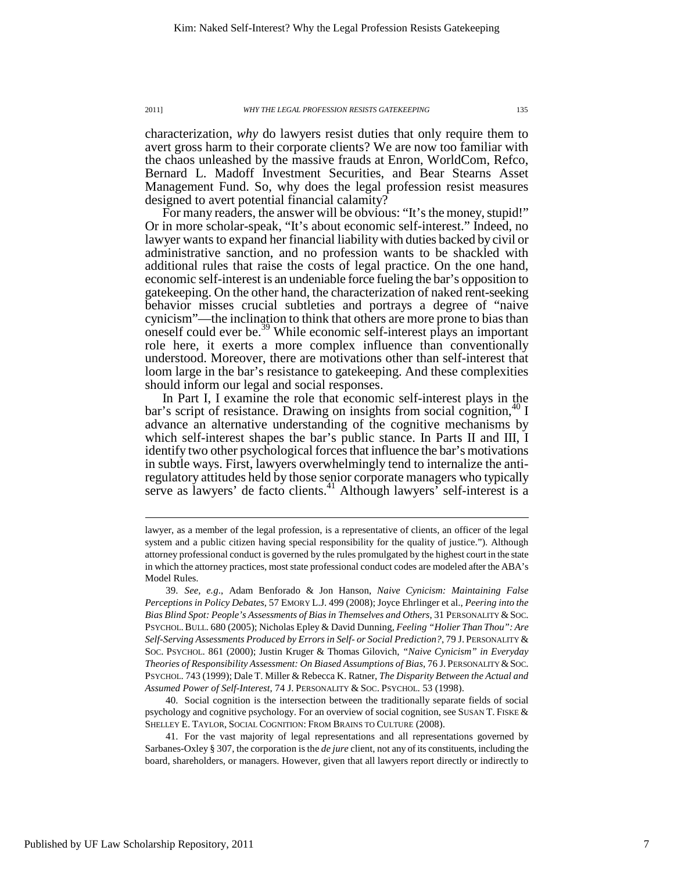characterization, *why* do lawyers resist duties that only require them to avert gross harm to their corporate clients? We are now too familiar with the chaos unleashed by the massive frauds at Enron, WorldCom, Refco, Bernard L. Madoff Investment Securities, and Bear Stearns Asset Management Fund. So, why does the legal profession resist measures designed to avert potential financial calamity?

For many readers, the answer will be obvious: "It's the money, stupid!" Or in more scholar-speak, "It's about economic self-interest." Indeed, no lawyer wants to expand her financial liability with duties backed by civil or administrative sanction, and no profession wants to be shackled with additional rules that raise the costs of legal practice. On the one hand, economic self-interest is an undeniable force fueling the bar's opposition to gatekeeping. On the other hand, the characterization of naked rent-seeking behavior misses crucial subtleties and portrays a degree of "naive cynicism"—the inclination to think that others are more prone to bias than oneself could ever be.<sup>39</sup> While economic self-interest plays an important role here, it exerts a more complex influence than conventionally understood. Moreover, there are motivations other than self-interest that loom large in the bar's resistance to gatekeeping. And these complexities should inform our legal and social responses.

In Part I, I examine the role that economic self-interest plays in the bar's script of resistance. Drawing on insights from social cognition,  $40 \text{ I}$ advance an alternative understanding of the cognitive mechanisms by which self-interest shapes the bar's public stance. In Parts II and III, I identify two other psychological forces that influence the bar's motivations in subtle ways. First, lawyers overwhelmingly tend to internalize the antiregulatory attitudes held by those senior corporate managers who typically serve as lawyers' de facto clients.<sup>41</sup> Although lawyers' self-interest is a

 40. Social cognition is the intersection between the traditionally separate fields of social psychology and cognitive psychology. For an overview of social cognition, see SUSAN T. FISKE & SHELLEY E. TAYLOR, SOCIAL COGNITION: FROM BRAINS TO CULTURE (2008).

 41. For the vast majority of legal representations and all representations governed by Sarbanes-Oxley § 307, the corporation is the *de jure* client, not any of its constituents, including the board, shareholders, or managers. However, given that all lawyers report directly or indirectly to

lawyer, as a member of the legal profession, is a representative of clients, an officer of the legal system and a public citizen having special responsibility for the quality of justice."). Although attorney professional conduct is governed by the rules promulgated by the highest court in the state in which the attorney practices, most state professional conduct codes are modeled after the ABA's Model Rules.

 <sup>39.</sup> *See, e.g*., Adam Benforado & Jon Hanson, *Naive Cynicism: Maintaining False Perceptions in Policy Debates*, 57 EMORY L.J. 499 (2008); Joyce Ehrlinger et al., *Peering into the Bias Blind Spot: People's Assessments of Bias in Themselves and Others*, 31 PERSONALITY &SOC. PSYCHOL.BULL. 680 (2005); Nicholas Epley & David Dunning, *Feeling "Holier Than Thou": Are Self-Serving Assessments Produced by Errors in Self- or Social Prediction?*, 79 J. PERSONALITY & SOC. PSYCHOL. 861 (2000); Justin Kruger & Thomas Gilovich, *"Naive Cynicism" in Everyday Theories of Responsibility Assessment: On Biased Assumptions of Bias*, 76 J. PERSONALITY &SOC. PSYCHOL. 743 (1999); Dale T. Miller & Rebecca K. Ratner, *The Disparity Between the Actual and Assumed Power of Self-Interest*, 74 J. PERSONALITY & SOC. PSYCHOL. 53 (1998).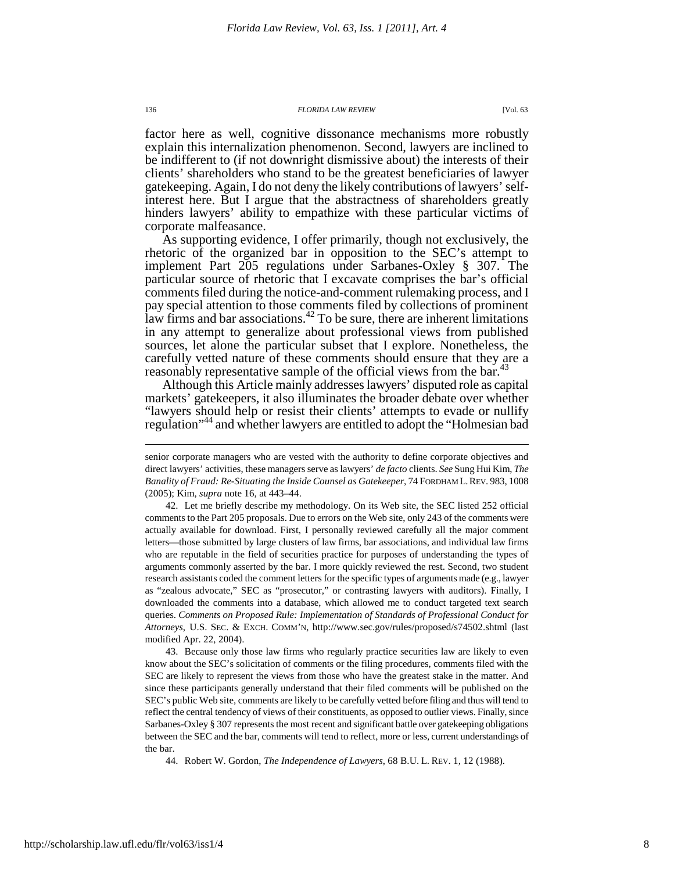factor here as well, cognitive dissonance mechanisms more robustly explain this internalization phenomenon. Second, lawyers are inclined to be indifferent to (if not downright dismissive about) the interests of their clients' shareholders who stand to be the greatest beneficiaries of lawyer gatekeeping. Again, I do not deny the likely contributions of lawyers' selfinterest here. But I argue that the abstractness of shareholders greatly hinders lawyers' ability to empathize with these particular victims of corporate malfeasance.

As supporting evidence, I offer primarily, though not exclusively, the rhetoric of the organized bar in opposition to the SEC's attempt to implement Part 205 regulations under Sarbanes-Oxley § 307. The particular source of rhetoric that I excavate comprises the bar's official comments filed during the notice-and-comment rulemaking process, and I pay special attention to those comments filed by collections of prominent law firms and bar associations.<sup>42</sup> To be sure, there are inherent limitations in any attempt to generalize about professional views from published sources, let alone the particular subset that I explore. Nonetheless, the carefully vetted nature of these comments should ensure that they are a reasonably representative sample of the official views from the bar.<sup>4</sup>

Although this Article mainly addresses lawyers' disputed role as capital markets' gatekeepers, it also illuminates the broader debate over whether "lawyers should help or resist their clients' attempts to evade or nullify regulation"<sup>44</sup> and whether lawyers are entitled to adopt the "Holmesian bad

 43. Because only those law firms who regularly practice securities law are likely to even know about the SEC's solicitation of comments or the filing procedures, comments filed with the SEC are likely to represent the views from those who have the greatest stake in the matter. And since these participants generally understand that their filed comments will be published on the SEC's public Web site, comments are likely to be carefully vetted before filing and thus will tend to reflect the central tendency of views of their constituents, as opposed to outlier views. Finally, since Sarbanes-Oxley § 307 represents the most recent and significant battle over gatekeeping obligations between the SEC and the bar, comments will tend to reflect, more or less, current understandings of the bar.

44. Robert W. Gordon, *The Independence of Lawyers*, 68 B.U. L. REV. 1, 12 (1988).

senior corporate managers who are vested with the authority to define corporate objectives and direct lawyers' activities, these managers serve as lawyers' *de facto* clients. *See* Sung Hui Kim, *The Banality of Fraud: Re-Situating the Inside Counsel as Gatekeeper*, 74 FORDHAM L.REV. 983, 1008 (2005); Kim, *supra* note 16, at 443–44.

 <sup>42.</sup> Let me briefly describe my methodology. On its Web site, the SEC listed 252 official comments to the Part 205 proposals. Due to errors on the Web site, only 243 of the comments were actually available for download. First, I personally reviewed carefully all the major comment letters—those submitted by large clusters of law firms, bar associations, and individual law firms who are reputable in the field of securities practice for purposes of understanding the types of arguments commonly asserted by the bar. I more quickly reviewed the rest. Second, two student research assistants coded the comment letters for the specific types of arguments made (e.g., lawyer as "zealous advocate," SEC as "prosecutor," or contrasting lawyers with auditors). Finally, I downloaded the comments into a database, which allowed me to conduct targeted text search queries. *Comments on Proposed Rule: Implementation of Standards of Professional Conduct for Attorneys*, U.S. SEC. & EXCH. COMM'N, http://www.sec.gov/rules/proposed/s74502.shtml (last modified Apr. 22, 2004).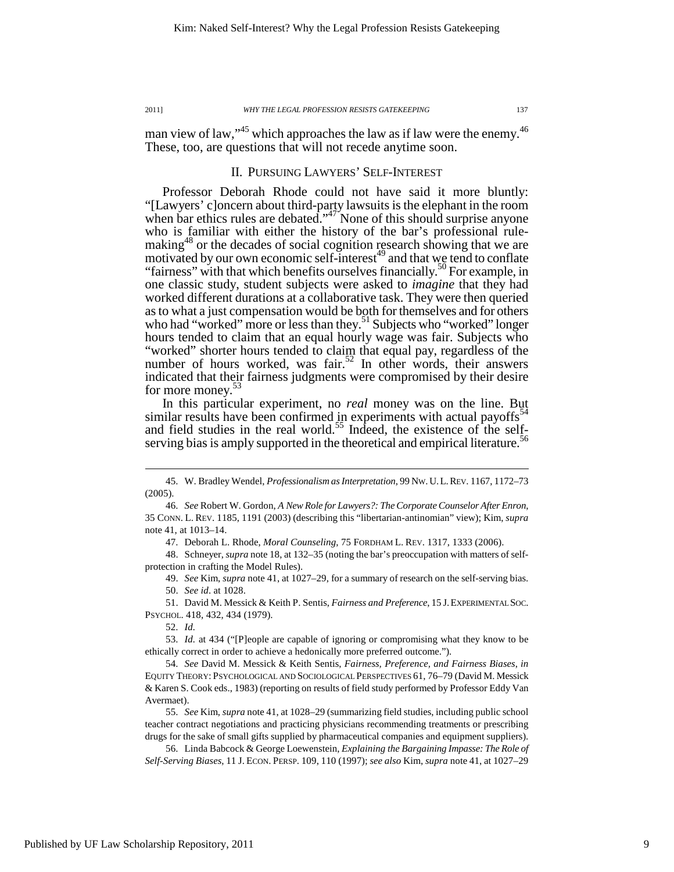man view of law,"<sup>45</sup> which approaches the law as if law were the enemy.<sup>46</sup> These, too, are questions that will not recede anytime soon.

## II. PURSUING LAWYERS' SELF-INTEREST

Professor Deborah Rhode could not have said it more bluntly: "[Lawyers' c]oncern about third-party lawsuits is the elephant in the room when bar ethics rules are debated."<sup>47</sup> None of this should surprise anyone who is familiar with either the history of the bar's professional rulemaking<sup>48</sup> or the decades of social cognition research showing that we are motivated by our own economic self-interest<sup>49</sup> and that we tend to conflate "fairness" with that which benefits ourselves financially.<sup>50</sup> For example, in one classic study, student subjects were asked to *imagine* that they had worked different durations at a collaborative task. They were then queried as to what a just compensation would be both for themselves and for others who had "worked" more or less than they.<sup>51</sup> Subjects who "worked" longer hours tended to claim that an equal hourly wage was fair. Subjects who "worked" shorter hours tended to claim that equal pay, regardless of the number of hours worked, was fair.<sup>52</sup> In other words, their answers indicated that their fairness judgments were compromised by their desire for more money.

In this particular experiment, no *real* money was on the line. But similar results have been confirmed in experiments with actual payoffs<sup>5</sup> and field studies in the real world.<sup>55</sup> Indeed, the existence of the selfserving bias is amply supported in the theoretical and empirical literature.<sup>5</sup>

47. Deborah L. Rhode, *Moral Counseling*, 75 FORDHAM L. REV. 1317, 1333 (2006).

 48. Schneyer, *supra* note 18, at 132–35 (noting the bar's preoccupation with matters of selfprotection in crafting the Model Rules).

 49. *See* Kim, *supra* note 41, at 1027–29, for a summary of research on the self-serving bias. 50. *See id*. at 1028.

 51. David M. Messick & Keith P. Sentis, *Fairness and Preference*, 15 J.EXPERIMENTAL SOC. PSYCHOL. 418, 432, 434 (1979).

52. *Id.*

 $\overline{a}$ 

 53. *Id.* at 434 ("[P]eople are capable of ignoring or compromising what they know to be ethically correct in order to achieve a hedonically more preferred outcome.")*.*

 54. *See* David M. Messick & Keith Sentis, *Fairness, Preference, and Fairness Biases*, *in* EQUITY THEORY: PSYCHOLOGICAL AND SOCIOLOGICAL PERSPECTIVES 61, 76–79 (David M. Messick & Karen S. Cook eds., 1983) (reporting on results of field study performed by Professor Eddy Van Avermaet).

 55. *See* Kim, *supra* note 41, at 1028–29 (summarizing field studies, including public school teacher contract negotiations and practicing physicians recommending treatments or prescribing drugs for the sake of small gifts supplied by pharmaceutical companies and equipment suppliers).

 56. Linda Babcock & George Loewenstein, *Explaining the Bargaining Impasse: The Role of Self-Serving Biases*, 11 J. ECON. PERSP. 109, 110 (1997); *see also* Kim, *supra* note 41, at 1027–29

 <sup>45.</sup> W. Bradley Wendel, *Professionalism as Interpretation*, 99 NW.U.L.REV. 1167, 1172–73 (2005).

 <sup>46.</sup> *See* Robert W. Gordon, *A New Role for Lawyers?: The Corporate Counselor After Enron*, 35 CONN. L. REV. 1185, 1191 (2003) (describing this "libertarian-antinomian" view); Kim, *supra*  note 41, at 1013–14.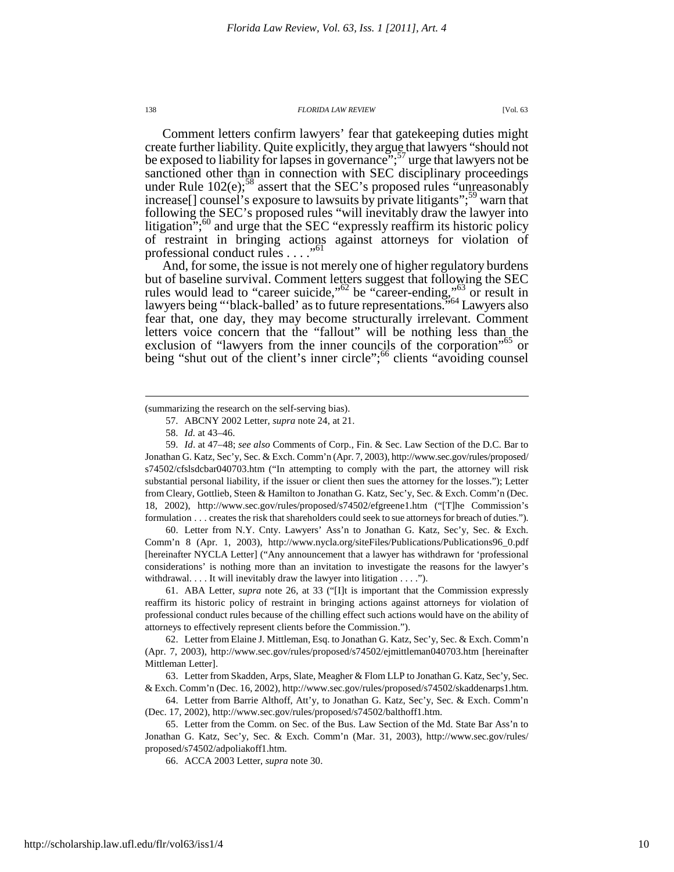Comment letters confirm lawyers' fear that gatekeeping duties might create further liability. Quite explicitly, they argue that lawyers "should not be exposed to liability for lapses in governance";<sup>57</sup> urge that lawyers not be sanctioned other than in connection with SEC disciplinary proceedings under Rule  $102(e)$ ;<sup>58</sup> assert that the SEC's proposed rules "unreasonably" increase[] counsel's exposure to lawsuits by private litigants";<sup>59</sup> warn that following the SEC's proposed rules "will inevitably draw the lawyer into litigation";<sup>60</sup> and urge that the SEC "expressly reaffirm its historic policy of restraint in bringing actions against attorneys for violation of professional conduct rules . . . . "<sup>61</sup>

And, for some, the issue is not merely one of higher regulatory burdens but of baseline survival. Comment letters suggest that following the SEC rules would lead to "career suicide,"<sup>62</sup> be "career-ending,"<sup>63</sup> or result in lawyers being "'black-balled' as to future representations."<sup>64</sup> Lawyers also fear that, one day, they may become structurally irrelevant. Comment letters voice concern that the "fallout" will be nothing less than the exclusion of "lawyers from the inner councils of the corporation"<sup>65</sup> or being "shut out of the client's inner circle";<sup>66</sup> clients "avoiding counsel"

(summarizing the research on the self-serving bias).

 $\overline{a}$ 

 59. *Id*. at 47–48; *see also* Comments of Corp., Fin. & Sec. Law Section of the D.C. Bar to Jonathan G. Katz, Sec'y, Sec. & Exch. Comm'n (Apr. 7, 2003), http://www.sec.gov/rules/proposed/ s74502/cfslsdcbar040703.htm ("In attempting to comply with the part, the attorney will risk substantial personal liability, if the issuer or client then sues the attorney for the losses."); Letter from Cleary, Gottlieb, Steen & Hamilton to Jonathan G. Katz, Sec'y, Sec. & Exch. Comm'n (Dec. 18, 2002), http://www.sec.gov/rules/proposed/s74502/efgreene1.htm ("[T]he Commission's formulation . . . creates the risk that shareholders could seek to sue attorneys for breach of duties.").

 60. Letter from N.Y. Cnty. Lawyers' Ass'n to Jonathan G. Katz, Sec'y, Sec. & Exch. Comm'n 8 (Apr. 1, 2003), http://www.nycla.org/siteFiles/Publications/Publications96\_0.pdf [hereinafter NYCLA Letter] ("Any announcement that a lawyer has withdrawn for 'professional considerations' is nothing more than an invitation to investigate the reasons for the lawyer's withdrawal. . . . It will inevitably draw the lawyer into litigation . . . .").

 61. ABA Letter, *supra* note 26, at 33 ("[I]t is important that the Commission expressly reaffirm its historic policy of restraint in bringing actions against attorneys for violation of professional conduct rules because of the chilling effect such actions would have on the ability of attorneys to effectively represent clients before the Commission.").

 62. Letter from Elaine J. Mittleman, Esq. to Jonathan G. Katz, Sec'y, Sec. & Exch. Comm'n (Apr. 7, 2003), http://www.sec.gov/rules/proposed/s74502/ejmittleman040703.htm [hereinafter Mittleman Letter].

 63. Letter from Skadden, Arps, Slate, Meagher & Flom LLP to Jonathan G. Katz, Sec'y, Sec. & Exch. Comm'n (Dec. 16, 2002), http://www.sec.gov/rules/proposed/s74502/skaddenarps1.htm.

 64. Letter from Barrie Althoff, Att'y, to Jonathan G. Katz, Sec'y, Sec. & Exch. Comm'n (Dec. 17, 2002), http://www.sec.gov/rules/proposed/s74502/balthoff1.htm.

 65. Letter from the Comm. on Sec. of the Bus. Law Section of the Md. State Bar Ass'n to Jonathan G. Katz, Sec'y, Sec. & Exch. Comm'n (Mar. 31, 2003), http://www.sec.gov/rules/ proposed/s74502/adpoliakoff1.htm.

66. ACCA 2003 Letter, *supra* note 30.

 <sup>57.</sup> ABCNY 2002 Letter, *supra* note 24, at 21.

 <sup>58.</sup> *Id.* at 43–46.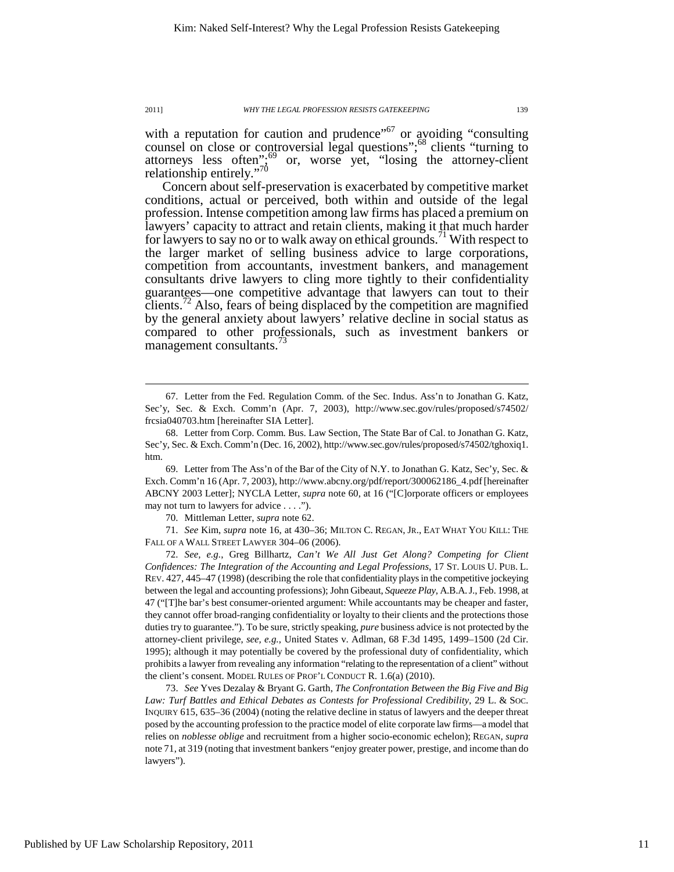with a reputation for caution and prudence<sup> $57$ </sup> or avoiding "consulting" counsel on close or controversial legal questions"; $^{68}$  clients "turning to attorneys less often";<sup>69</sup> or, worse yet, "losing the attorney-client relationship entirely."70

Concern about self-preservation is exacerbated by competitive market conditions, actual or perceived, both within and outside of the legal profession. Intense competition among law firms has placed a premium on lawyers' capacity to attract and retain clients, making it that much harder for lawyers to say no or to walk away on ethical grounds.<sup>71</sup> With respect to the larger market of selling business advice to large corporations, competition from accountants, investment bankers, and management consultants drive lawyers to cling more tightly to their confidentiality guarantees—one competitive advantage that lawyers can tout to their clients.<sup> $2$ </sup> Also, fears of being displaced by the competition are magnified by the general anxiety about lawyers' relative decline in social status as compared to other professionals, such as investment bankers or management consultants.<sup>13</sup>

 69. Letter from The Ass'n of the Bar of the City of N.Y. to Jonathan G. Katz, Sec'y, Sec. & Exch. Comm'n 16 (Apr. 7, 2003), http://www.abcny.org/pdf/report/300062186\_4.pdf [hereinafter ABCNY 2003 Letter]; NYCLA Letter, *supra* note 60, at 16 ("[C]orporate officers or employees may not turn to lawyers for advice . . . .").

70. Mittleman Letter, *supra* note 62.

 71. *See* Kim, *supra* note 16, at 430–36; MILTON C. REGAN, JR., EAT WHAT YOU KILL: THE FALL OF A WALL STREET LAWYER 304–06 (2006).

 72. *See, e.g.*, Greg Billhartz, *Can't We All Just Get Along? Competing for Client Confidences: The Integration of the Accounting and Legal Professions*, 17 ST. LOUIS U. PUB. L. REV. 427, 445–47 (1998) (describing the role that confidentiality plays in the competitive jockeying between the legal and accounting professions); John Gibeaut, *Squeeze Play*, A.B.A.J., Feb. 1998, at 47 ("[T]he bar's best consumer-oriented argument: While accountants may be cheaper and faster, they cannot offer broad-ranging confidentiality or loyalty to their clients and the protections those duties try to guarantee."). To be sure, strictly speaking, *pure* business advice is not protected by the attorney-client privilege, *see, e.g.*, United States v. Adlman, 68 F.3d 1495, 1499–1500 (2d Cir. 1995); although it may potentially be covered by the professional duty of confidentiality, which prohibits a lawyer from revealing any information "relating to the representation of a client" without the client's consent. MODEL RULES OF PROF'L CONDUCT R. 1.6(a) (2010).

 73. *See* Yves Dezalay & Bryant G. Garth, *The Confrontation Between the Big Five and Big Law: Turf Battles and Ethical Debates as Contests for Professional Credibility*, 29 L. & SOC. INQUIRY 615, 635–36 (2004) (noting the relative decline in status of lawyers and the deeper threat posed by the accounting profession to the practice model of elite corporate law firms—a model that relies on *noblesse oblige* and recruitment from a higher socio-economic echelon); REGAN, *supra* note 71, at 319 (noting that investment bankers "enjoy greater power, prestige, and income than do lawyers").

 <sup>67.</sup> Letter from the Fed. Regulation Comm. of the Sec. Indus. Ass'n to Jonathan G. Katz, Sec'y, Sec. & Exch. Comm'n (Apr. 7, 2003), http://www.sec.gov/rules/proposed/s74502/ frcsia040703.htm [hereinafter SIA Letter].

 <sup>68.</sup> Letter from Corp. Comm. Bus. Law Section, The State Bar of Cal. to Jonathan G. Katz, Sec'y, Sec. & Exch. Comm'n (Dec. 16, 2002), http://www.sec.gov/rules/proposed/s74502/tghoxiq1. htm.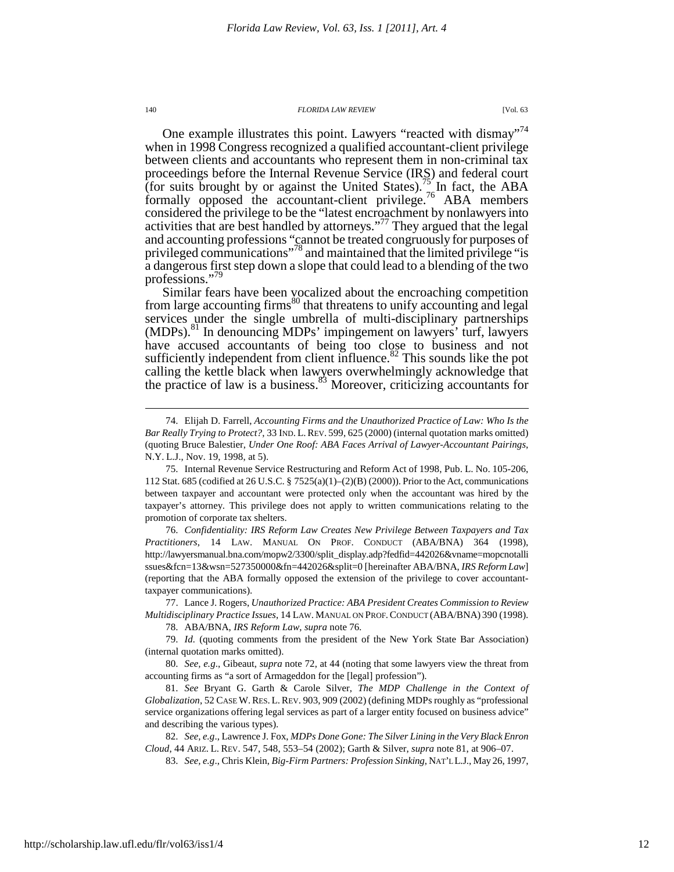One example illustrates this point. Lawyers "reacted with dismay"<sup>74</sup> when in 1998 Congress recognized a qualified accountant-client privilege between clients and accountants who represent them in non-criminal tax proceedings before the Internal Revenue Service (IRS) and federal court (for suits brought by or against the United States).<sup>75</sup> In fact, the ABA formally opposed the accountant-client privilege.<sup>76</sup> ABA members considered the privilege to be the "latest encroachment by nonlawyers into activities that are best handled by attorneys."<sup>77</sup> They argued that the legal and accounting professions "cannot be treated congruously for purposes of privileged communications"<sup>78</sup> and maintained that the limited privilege "is a dangerous first step down a slope that could lead to a blending of the two professions."<sup>79</sup>

Similar fears have been vocalized about the encroaching competition from large accounting firms<sup>80</sup> that threatens to unify accounting and legal services under the single umbrella of multi-disciplinary partnerships (MDPs).<sup>81</sup> In denouncing MDPs' impingement on lawyers' turf, lawyers have accused accountants of being too close to business and not sufficiently independent from client influence. $82$  This sounds like the pot calling the kettle black when lawyers overwhelmingly acknowledge that the practice of law is a business. $83$  Moreover, criticizing accountants for

 76. *Confidentiality: IRS Reform Law Creates New Privilege Between Taxpayers and Tax Practitioners*, 14 LAW. MANUAL ON PROF. CONDUCT (ABA/BNA) 364 (1998), http://lawyersmanual.bna.com/mopw2/3300/split\_display.adp?fedfid=442026&vname=mopcnotalli ssues&fcn=13&wsn=527350000&fn=442026&split=0 [hereinafter ABA/BNA, *IRS Reform Law*] (reporting that the ABA formally opposed the extension of the privilege to cover accountanttaxpayer communications).

 77. Lance J. Rogers, *Unauthorized Practice: ABA President Creates Commission to Review Multidisciplinary Practice Issues*, 14 LAW. MANUAL ON PROF.CONDUCT (ABA/BNA) 390 (1998). 78. ABA/BNA, *IRS Reform Law*, *supra* note 76*.*

 79. *Id.* (quoting comments from the president of the New York State Bar Association) (internal quotation marks omitted).

 <sup>74.</sup> Elijah D. Farrell, *Accounting Firms and the Unauthorized Practice of Law: Who Is the Bar Really Trying to Protect?*, 33 IND. L.REV. 599, 625 (2000) (internal quotation marks omitted) (quoting Bruce Balestier, *Under One Roof: ABA Faces Arrival of Lawyer-Accountant Pairings*, N.Y. L.J., Nov. 19, 1998, at 5).

 <sup>75.</sup> Internal Revenue Service Restructuring and Reform Act of 1998, Pub. L. No. 105-206, 112 Stat. 685 (codified at 26 U.S.C. § 7525(a)(1)–(2)(B) (2000)). Prior to the Act, communications between taxpayer and accountant were protected only when the accountant was hired by the taxpayer's attorney. This privilege does not apply to written communications relating to the promotion of corporate tax shelters.

 <sup>80.</sup> *See, e.g*., Gibeaut, *supra* note 72, at 44 (noting that some lawyers view the threat from accounting firms as "a sort of Armageddon for the [legal] profession").

 <sup>81.</sup> *See* Bryant G. Garth & Carole Silver, *The MDP Challenge in the Context of Globalization*, 52 CASE W.RES. L.REV. 903, 909 (2002) (defining MDPs roughly as "professional service organizations offering legal services as part of a larger entity focused on business advice" and describing the various types).

 <sup>82.</sup> *See, e.g*., Lawrence J. Fox, *MDPs Done Gone: The Silver Lining in the Very Black Enron Cloud*, 44 ARIZ. L. REV. 547, 548, 553–54 (2002); Garth & Silver, *supra* note 81, at 906–07.

 <sup>83.</sup> *See, e.g*., Chris Klein, *Big-Firm Partners: Profession Sinking*, NAT'L L.J., May 26, 1997,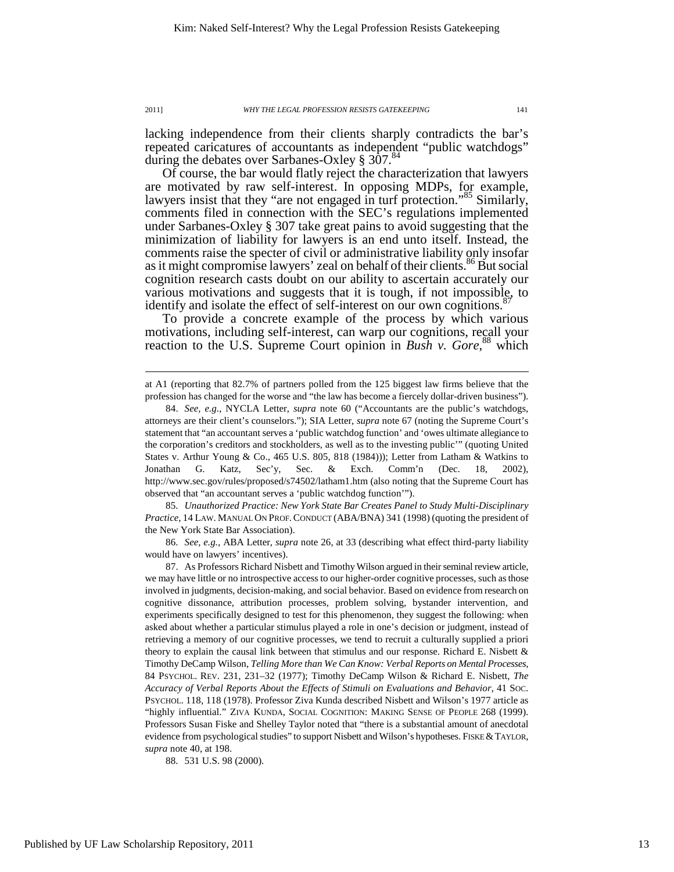$\overline{a}$ 

lacking independence from their clients sharply contradicts the bar's repeated caricatures of accountants as independent "public watchdogs" during the debates over Sarbanes-Oxley § 307.<sup>84</sup>

Of course, the bar would flatly reject the characterization that lawyers are motivated by raw self-interest. In opposing MDPs, for example, lawyers insist that they "are not engaged in turf protection."<sup>85</sup> Similarly, comments filed in connection with the SEC's regulations implemented under Sarbanes-Oxley § 307 take great pains to avoid suggesting that the minimization of liability for lawyers is an end unto itself. Instead, the comments raise the specter of civil or administrative liability only insofar as it might compromise lawyers' zeal on behalf of their clients.<sup>86</sup> But social cognition research casts doubt on our ability to ascertain accurately our various motivations and suggests that it is tough, if not impossible, to identify and isolate the effect of self-interest on our own cognitions.<sup>87</sup>

To provide a concrete example of the process by which various motivations, including self-interest, can warp our cognitions, recall your reaction to the U.S. Supreme Court opinion in *Bush v. Gore*, <sup>88</sup> which

 85. *Unauthorized Practice: New York State Bar Creates Panel to Study Multi-Disciplinary Practice*, 14 LAW. MANUAL ON PROF.CONDUCT (ABA/BNA) 341 (1998) (quoting the president of the New York State Bar Association).

 86. *See, e.g.*, ABA Letter, *supra* note 26, at 33 (describing what effect third-party liability would have on lawyers' incentives).

at A1 (reporting that 82.7% of partners polled from the 125 biggest law firms believe that the profession has changed for the worse and "the law has become a fiercely dollar-driven business").

 <sup>84.</sup> *See, e.g*., NYCLA Letter, *supra* note 60 ("Accountants are the public's watchdogs, attorneys are their client's counselors."); SIA Letter, *supra* note 67 (noting the Supreme Court's statement that "an accountant serves a 'public watchdog function' and 'owes ultimate allegiance to the corporation's creditors and stockholders, as well as to the investing public'" (quoting United States v. Arthur Young & Co., 465 U.S. 805, 818 (1984))); Letter from Latham & Watkins to Jonathan G. Katz, Sec'y, Sec. & Exch. Comm'n (Dec. 18, 2002), http://www.sec.gov/rules/proposed/s74502/latham1.htm (also noting that the Supreme Court has observed that "an accountant serves a 'public watchdog function'").

 <sup>87.</sup> As Professors Richard Nisbett and Timothy Wilson argued in their seminal review article, we may have little or no introspective access to our higher-order cognitive processes, such as those involved in judgments, decision-making, and social behavior. Based on evidence from research on cognitive dissonance, attribution processes, problem solving, bystander intervention, and experiments specifically designed to test for this phenomenon, they suggest the following: when asked about whether a particular stimulus played a role in one's decision or judgment, instead of retrieving a memory of our cognitive processes, we tend to recruit a culturally supplied a priori theory to explain the causal link between that stimulus and our response. Richard E. Nisbett & Timothy DeCamp Wilson, *Telling More than We Can Know: Verbal Reports on Mental Processes*, 84 PSYCHOL. REV. 231, 231–32 (1977); Timothy DeCamp Wilson & Richard E. Nisbett, *The Accuracy of Verbal Reports About the Effects of Stimuli on Evaluations and Behavior*, 41 SOC. PSYCHOL. 118, 118 (1978). Professor Ziva Kunda described Nisbett and Wilson's 1977 article as "highly influential." ZIVA KUNDA, SOCIAL COGNITION: MAKING SENSE OF PEOPLE 268 (1999). Professors Susan Fiske and Shelley Taylor noted that "there is a substantial amount of anecdotal evidence from psychological studies" to support Nisbett and Wilson's hypotheses. FISKE & TAYLOR, *supra* note 40, at 198.

 <sup>88. 531</sup> U.S. 98 (2000).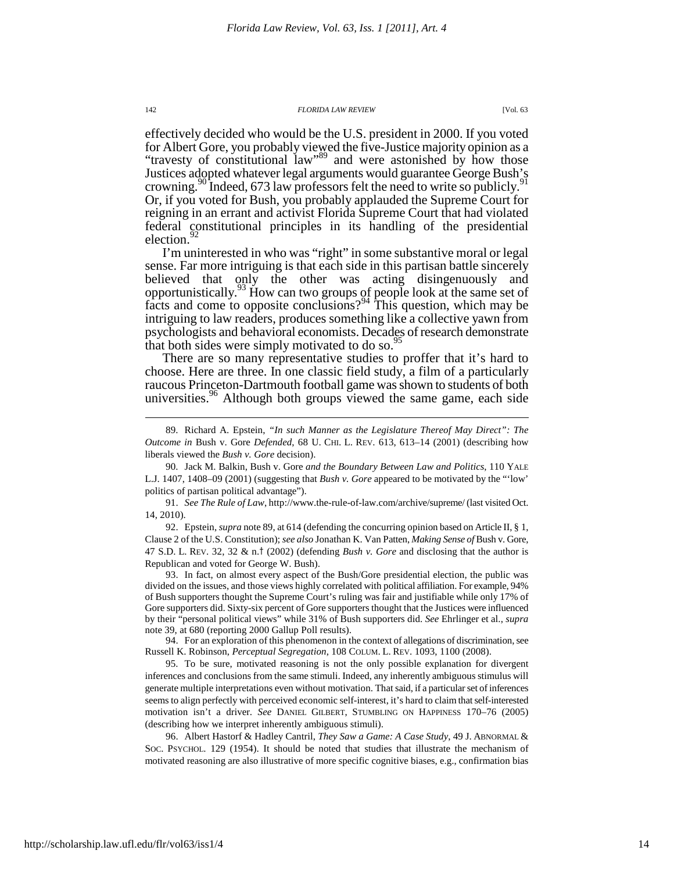effectively decided who would be the U.S. president in 2000. If you voted for Albert Gore, you probably viewed the five-Justice majority opinion as a "travesty of constitutional law"<sup>89</sup> and were astonished by how those Justices adopted whatever legal arguments would guarantee George Bush's crowning.<sup>90</sup> Indeed, 673 law professors felt the need to write so publicly.<sup>9</sup> Or, if you voted for Bush, you probably applauded the Supreme Court for reigning in an errant and activist Florida Supreme Court that had violated federal constitutional principles in its handling of the presidential election.<sup>9</sup>

I'm uninterested in who was "right" in some substantive moral or legal sense. Far more intriguing is that each side in this partisan battle sincerely believed that only the other was acting disingenuously and opportunistically.<sup>93</sup> How can two groups of people look at the same set of facts and come to opposite conclusions?<sup>94</sup> This question, which may be intriguing to law readers, produces something like a collective yawn from psychologists and behavioral economists. Decades of research demonstrate that both sides were simply motivated to do so.<sup>95</sup>

There are so many representative studies to proffer that it's hard to choose. Here are three. In one classic field study, a film of a particularly raucous Princeton-Dartmouth football game was shown to students of both universities.<sup>96</sup> Although both groups viewed the same game, each side

 90. Jack M. Balkin, Bush v. Gore *and the Boundary Between Law and Politics*, 110 YALE L.J. 1407, 1408–09 (2001) (suggesting that *Bush v. Gore* appeared to be motivated by the "'low' politics of partisan political advantage").

 91. *See The Rule of Law*, http://www.the-rule-of-law.com/archive/supreme/ (last visited Oct. 14, 2010).

 92. Epstein, *supra* note 89, at 614 (defending the concurring opinion based on Article II, § 1, Clause 2 of the U.S. Constitution); *see also* Jonathan K. Van Patten, *Making Sense of* Bush v. Gore, 47 S.D. L. REV. 32, 32 & n.† (2002) (defending *Bush v. Gore* and disclosing that the author is Republican and voted for George W. Bush).

 93. In fact, on almost every aspect of the Bush/Gore presidential election, the public was divided on the issues, and those views highly correlated with political affiliation. For example, 94% of Bush supporters thought the Supreme Court's ruling was fair and justifiable while only 17% of Gore supporters did. Sixty-six percent of Gore supporters thought that the Justices were influenced by their "personal political views" while 31% of Bush supporters did. *See* Ehrlinger et al., *supra*  note 39, at 680 (reporting 2000 Gallup Poll results).

 94. For an exploration of this phenomenon in the context of allegations of discrimination, see Russell K. Robinson, *Perceptual Segregation*, 108 COLUM. L. REV. 1093, 1100 (2008).

 95. To be sure, motivated reasoning is not the only possible explanation for divergent inferences and conclusions from the same stimuli. Indeed, any inherently ambiguous stimulus will generate multiple interpretations even without motivation. That said, if a particular set of inferences seems to align perfectly with perceived economic self-interest, it's hard to claim that self-interested motivation isn't a driver. *See* DANIEL GILBERT, STUMBLING ON HAPPINESS 170–76 (2005) (describing how we interpret inherently ambiguous stimuli).

 96. Albert Hastorf & Hadley Cantril, *They Saw a Game: A Case Study*, 49 J. ABNORMAL & SOC. PSYCHOL. 129 (1954). It should be noted that studies that illustrate the mechanism of motivated reasoning are also illustrative of more specific cognitive biases, e.g., confirmation bias

 <sup>89.</sup> Richard A. Epstein, *"In such Manner as the Legislature Thereof May Direct": The Outcome in* Bush v. Gore *Defended*, 68 U. CHI. L. REV. 613, 613–14 (2001) (describing how liberals viewed the *Bush v. Gore* decision).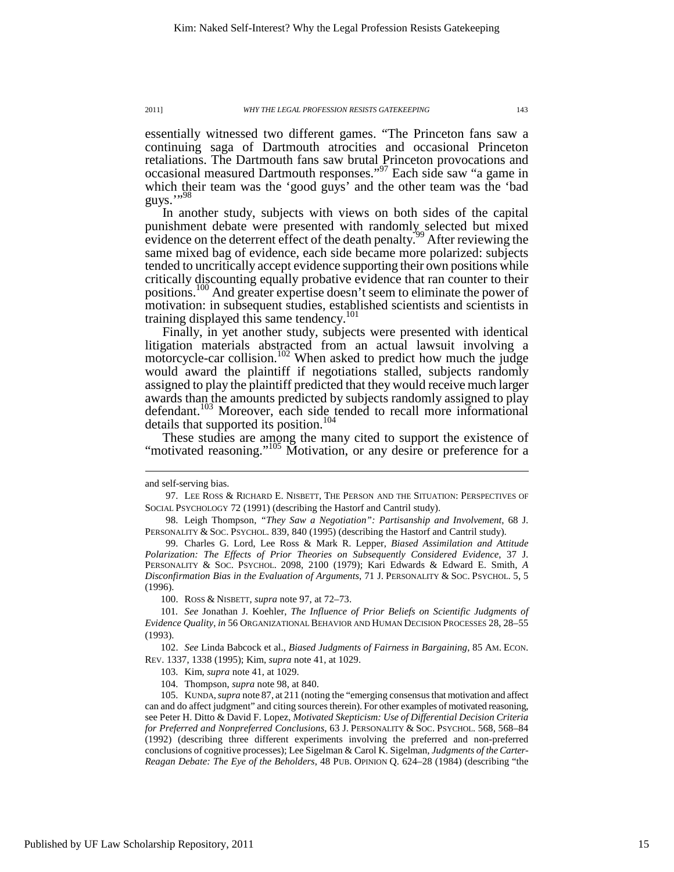essentially witnessed two different games. "The Princeton fans saw a continuing saga of Dartmouth atrocities and occasional Princeton retaliations. The Dartmouth fans saw brutal Princeton provocations and occasional measured Dartmouth responses."<sup>97</sup> Each side saw "a game in which their team was the 'good guys' and the other team was the 'bad guys.",98

In another study, subjects with views on both sides of the capital punishment debate were presented with randomly selected but mixed evidence on the deterrent effect of the death penalty.<sup>99</sup> After reviewing the same mixed bag of evidence, each side became more polarized: subjects tended to uncritically accept evidence supporting their own positions while critically discounting equally probative evidence that ran counter to their positions.<sup>100</sup> And greater expertise doesn't seem to eliminate the power of motivation: in subsequent studies, established scientists and scientists in training displayed this same tendency.<sup>101</sup>

Finally, in yet another study, subjects were presented with identical litigation materials abstracted from an actual lawsuit involving a motorcycle-car collision.<sup>102</sup> When asked to predict how much the judge would award the plaintiff if negotiations stalled, subjects randomly assigned to play the plaintiff predicted that they would receive much larger awards than the amounts predicted by subjects randomly assigned to play defendant.<sup>103</sup> Moreover, each side tended to recall more informational details that supported its position.<sup>104</sup>

These studies are among the many cited to support the existence of "motivated reasoning."<sup>105</sup> Motivation, or any desire or preference for a

 $\overline{a}$ 

100. ROSS & NISBETT, *supra* note 97, at 72–73.

and self-serving bias.

 <sup>97.</sup> LEE ROSS & RICHARD E. NISBETT, THE PERSON AND THE SITUATION: PERSPECTIVES OF SOCIAL PSYCHOLOGY 72 (1991) (describing the Hastorf and Cantril study).

 <sup>98.</sup> Leigh Thompson, *"They Saw a Negotiation": Partisanship and Involvement*, 68 J. PERSONALITY & SOC. PSYCHOL. 839, 840 (1995) (describing the Hastorf and Cantril study).

 <sup>99.</sup> Charles G. Lord, Lee Ross & Mark R. Lepper, *Biased Assimilation and Attitude Polarization: The Effects of Prior Theories on Subsequently Considered Evidence*, 37 J. PERSONALITY & SOC. PSYCHOL. 2098, 2100 (1979); Kari Edwards & Edward E. Smith, *A Disconfirmation Bias in the Evaluation of Arguments*, 71 J. PERSONALITY & SOC. PSYCHOL. 5, 5 (1996).

<sup>101</sup>*. See* Jonathan J. Koehler, *The Influence of Prior Beliefs on Scientific Judgments of Evidence Quality*, *in* 56 ORGANIZATIONAL BEHAVIOR AND HUMAN DECISION PROCESSES 28, 28–55 (1993).

 <sup>102.</sup> *See* Linda Babcock et al., *Biased Judgments of Fairness in Bargaining*, 85 AM. ECON. REV. 1337, 1338 (1995); Kim, *supra* note 41, at 1029.

 <sup>103.</sup> Kim, *supra* note 41, at 1029.

 <sup>104.</sup> Thompson, *supra* note 98, at 840.

 <sup>105.</sup> KUNDA,*supra* note 87, at 211 (noting the "emerging consensus that motivation and affect can and do affect judgment" and citing sources therein). For other examples of motivated reasoning, see Peter H. Ditto & David F. Lopez, *Motivated Skepticism: Use of Differential Decision Criteria for Preferred and Nonpreferred Conclusions*, 63 J. PERSONALITY & SOC. PSYCHOL. 568, 568–84 (1992) (describing three different experiments involving the preferred and non-preferred conclusions of cognitive processes); Lee Sigelman & Carol K. Sigelman, *Judgments of the Carter-Reagan Debate: The Eye of the Beholders*, 48 PUB. OPINION Q. 624–28 (1984) (describing "the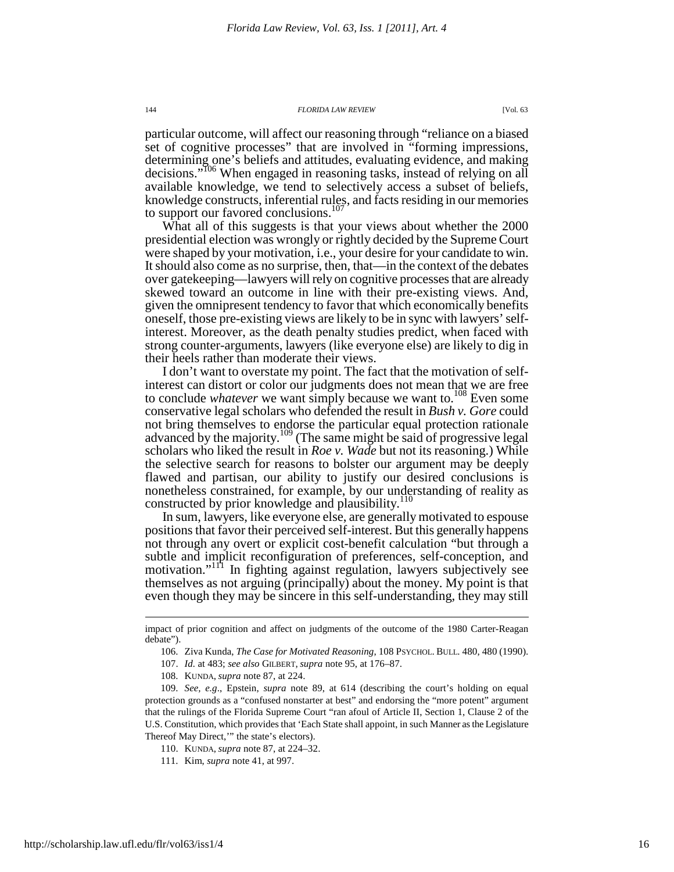particular outcome, will affect our reasoning through "reliance on a biased set of cognitive processes" that are involved in "forming impressions, determining one's beliefs and attitudes, evaluating evidence, and making decisions."<sup>106</sup> When engaged in reasoning tasks, instead of relying on all available knowledge, we tend to selectively access a subset of beliefs, knowledge constructs, inferential rules, and facts residing in our memories to support our favored conclusions.<sup>107</sup>

What all of this suggests is that your views about whether the 2000 presidential election was wrongly or rightly decided by the Supreme Court were shaped by your motivation, i.e., your desire for your candidate to win. It should also come as no surprise, then, that—in the context of the debates over gatekeeping—lawyers will rely on cognitive processes that are already skewed toward an outcome in line with their pre-existing views. And, given the omnipresent tendency to favor that which economically benefits oneself, those pre-existing views are likely to be in sync with lawyers' selfinterest. Moreover, as the death penalty studies predict, when faced with strong counter-arguments, lawyers (like everyone else) are likely to dig in their heels rather than moderate their views.

I don't want to overstate my point. The fact that the motivation of selfinterest can distort or color our judgments does not mean that we are free to conclude *whatever* we want simply because we want to.<sup>108</sup> Even some conservative legal scholars who defended the result in *Bush v. Gore* could not bring themselves to endorse the particular equal protection rationale advanced by the majority.<sup>109</sup> (The same might be said of progressive legal scholars who liked the result in *Roe v. Wade* but not its reasoning.) While the selective search for reasons to bolster our argument may be deeply flawed and partisan, our ability to justify our desired conclusions is nonetheless constrained, for example, by our understanding of reality as constructed by prior knowledge and plausibility.<sup>110</sup>

In sum, lawyers, like everyone else, are generally motivated to espouse positions that favor their perceived self-interest. But this generally happens not through any overt or explicit cost-benefit calculation "but through a subtle and implicit reconfiguration of preferences, self-conception, and motivation."<sup>111</sup> In fighting against regulation, lawyers subjectively see themselves as not arguing (principally) about the money. My point is that even though they may be sincere in this self-understanding, they may still

108. KUNDA, *supra* note 87, at 224.

impact of prior cognition and affect on judgments of the outcome of the 1980 Carter-Reagan debate").

 <sup>106.</sup> Ziva Kunda, *The Case for Motivated Reasoning*, 108 PSYCHOL. BULL. 480, 480 (1990).

 <sup>107.</sup> *Id.* at 483; *see also* GILBERT, *supra* note 95, at 176–87.

 <sup>109.</sup> *See, e.g*., Epstein, *supra* note 89, at 614 (describing the court's holding on equal protection grounds as a "confused nonstarter at best" and endorsing the "more potent" argument that the rulings of the Florida Supreme Court "ran afoul of Article II, Section 1, Clause 2 of the U.S. Constitution, which provides that 'Each State shall appoint, in such Manner as the Legislature Thereof May Direct,'" the state's electors).

 <sup>110.</sup> KUNDA, *supra* note 87, at 224–32.

 <sup>111.</sup> Kim, *supra* note 41, at 997.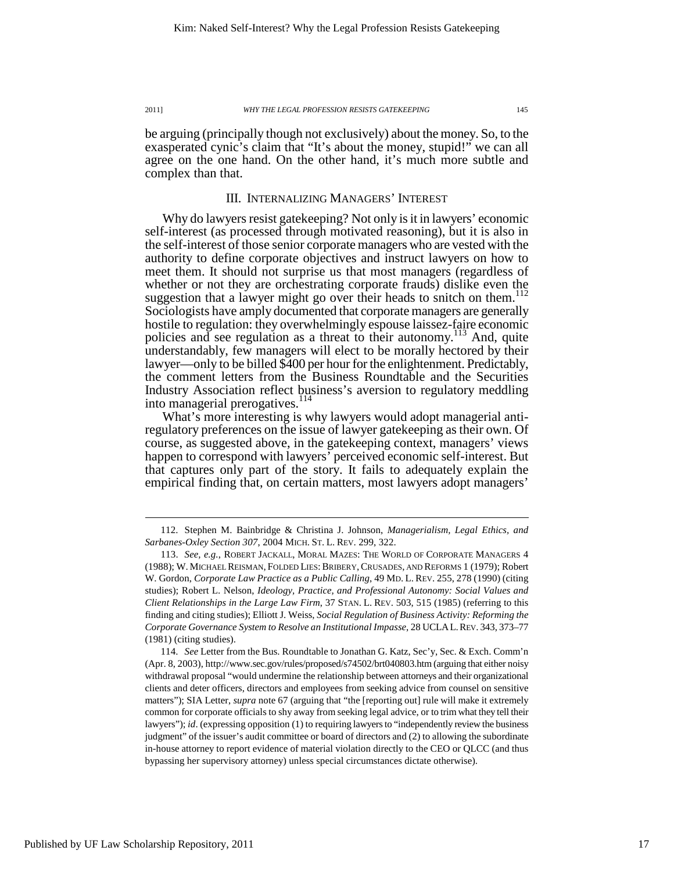be arguing (principally though not exclusively) about the money. So, to the exasperated cynic's claim that "It's about the money, stupid!" we can all agree on the one hand. On the other hand, it's much more subtle and complex than that.

## III. INTERNALIZING MANAGERS' INTEREST

Why do lawyers resist gatekeeping? Not only is it in lawyers' economic self-interest (as processed through motivated reasoning), but it is also in the self-interest of those senior corporate managers who are vested with the authority to define corporate objectives and instruct lawyers on how to meet them. It should not surprise us that most managers (regardless of whether or not they are orchestrating corporate frauds) dislike even the<br>whether or not they are orchestrating corporate frauds) dislike even them suggestion that a lawyer might go over their heads to snitch on them.<sup>1</sup> Sociologists have amply documented that corporate managers are generally hostile to regulation: they overwhelmingly espouse laissez-faire economic policies and see regulation as a threat to their autonomy.<sup>113</sup> And, quite understandably, few managers will elect to be morally hectored by their lawyer—only to be billed \$400 per hour for the enlightenment. Predictably, the comment letters from the Business Roundtable and the Securities Industry Association reflect business's aversion to regulatory meddling into managerial prerogatives.<sup>1</sup>

What's more interesting is why lawyers would adopt managerial antiregulatory preferences on the issue of lawyer gatekeeping as their own. Of course, as suggested above, in the gatekeeping context, managers' views happen to correspond with lawyers' perceived economic self-interest. But that captures only part of the story. It fails to adequately explain the empirical finding that, on certain matters, most lawyers adopt managers'

 <sup>112.</sup> Stephen M. Bainbridge & Christina J. Johnson, *Managerialism, Legal Ethics, and Sarbanes-Oxley Section 307*, 2004 MICH. ST. L. REV. 299, 322.

 <sup>113.</sup> *See, e.g.*, ROBERT JACKALL, MORAL MAZES: THE WORLD OF CORPORATE MANAGERS 4 (1988); W. MICHAEL REISMAN, FOLDED LIES:BRIBERY,CRUSADES, AND REFORMS 1 (1979); Robert W. Gordon, *Corporate Law Practice as a Public Calling*, 49 MD. L. REV. 255, 278 (1990) (citing studies); Robert L. Nelson, *Ideology, Practice, and Professional Autonomy: Social Values and Client Relationships in the Large Law Firm*, 37 STAN. L. REV. 503, 515 (1985) (referring to this finding and citing studies); Elliott J. Weiss, *Social Regulation of Business Activity: Reforming the Corporate Governance System to Resolve an Institutional Impasse*, 28 UCLAL.REV. 343, 373–77 (1981) (citing studies).

 <sup>114.</sup> *See* Letter from the Bus. Roundtable to Jonathan G. Katz, Sec'y, Sec. & Exch. Comm'n (Apr. 8, 2003), http://www.sec.gov/rules/proposed/s74502/brt040803.htm (arguing that either noisy withdrawal proposal "would undermine the relationship between attorneys and their organizational clients and deter officers, directors and employees from seeking advice from counsel on sensitive matters"); SIA Letter, *supra* note 67 (arguing that "the [reporting out] rule will make it extremely common for corporate officials to shy away from seeking legal advice, or to trim what they tell their lawyers"); *id*. (expressing opposition (1) to requiring lawyers to "independently review the business judgment" of the issuer's audit committee or board of directors and (2) to allowing the subordinate in-house attorney to report evidence of material violation directly to the CEO or QLCC (and thus bypassing her supervisory attorney) unless special circumstances dictate otherwise).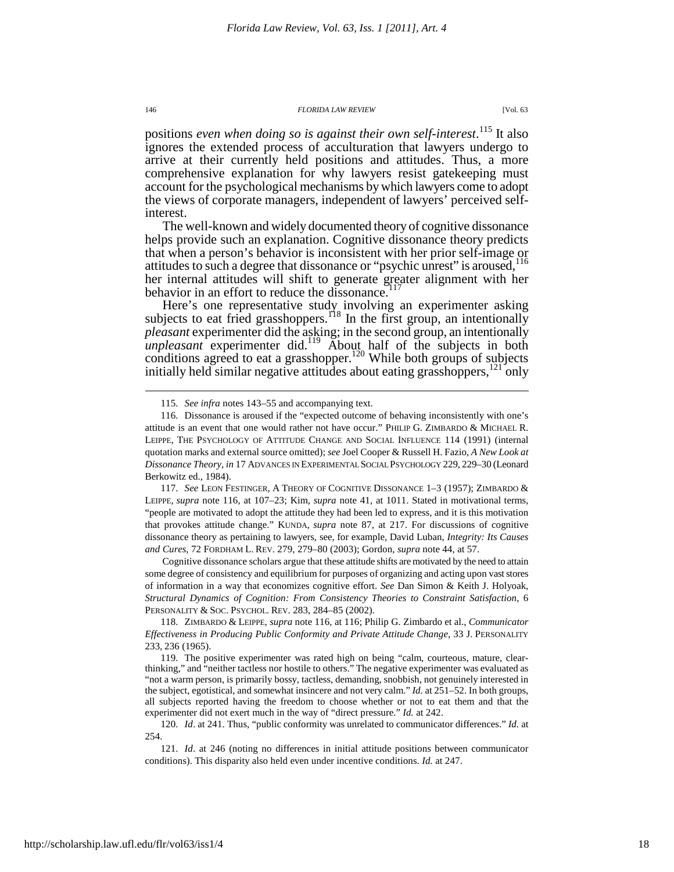positions *even when doing so is against their own self-interest*. <sup>115</sup> It also ignores the extended process of acculturation that lawyers undergo to arrive at their currently held positions and attitudes. Thus, a more comprehensive explanation for why lawyers resist gatekeeping must account for the psychological mechanisms by which lawyers come to adopt the views of corporate managers, independent of lawyers' perceived selfinterest.

The well-known and widely documented theory of cognitive dissonance helps provide such an explanation. Cognitive dissonance theory predicts that when a person's behavior is inconsistent with her prior self-image or attitudes to such a degree that dissonance or "psychic unrest" is aroused,  $116$ her internal attitudes will shift to generate greater alignment with her behavior in an effort to reduce the dissonance.<sup>1</sup>

Here's one representative study involving an experimenter asking subjects to eat fried grasshoppers.<sup>118</sup> In the first group, an intentionally *pleasant* experimenter did the asking; in the second group, an intentionally *unpleasant* experimenter did.<sup>119</sup> About half of the subjects in both conditions agreed to eat a grasshopper.<sup>120</sup> While both groups of subjects initially held similar negative attitudes about eating grasshoppers,<sup>121</sup> only

 117. *See* LEON FESTINGER, A THEORY OF COGNITIVE DISSONANCE 1–3 (1957); ZIMBARDO & LEIPPE, *supra* note 116, at 107–23; Kim, *supra* note 41, at 1011. Stated in motivational terms, "people are motivated to adopt the attitude they had been led to express, and it is this motivation that provokes attitude change." KUNDA, *supra* note 87, at 217. For discussions of cognitive dissonance theory as pertaining to lawyers, see, for example, David Luban, *Integrity: Its Causes and Cures*, 72 FORDHAM L. REV. 279, 279–80 (2003); Gordon, *supra* note 44, at 57.

Cognitive dissonance scholars argue that these attitude shifts are motivated by the need to attain some degree of consistency and equilibrium for purposes of organizing and acting upon vast stores of information in a way that economizes cognitive effort. *See* Dan Simon & Keith J. Holyoak, *Structural Dynamics of Cognition: From Consistency Theories to Constraint Satisfaction*, 6 PERSONALITY & SOC. PSYCHOL. REV. 283, 284–85 (2002).

 <sup>115.</sup> *See infra* notes 143–55 and accompanying text.

 <sup>116.</sup> Dissonance is aroused if the "expected outcome of behaving inconsistently with one's attitude is an event that one would rather not have occur." PHILIP G. ZIMBARDO & MICHAEL R. LEIPPE, THE PSYCHOLOGY OF ATTITUDE CHANGE AND SOCIAL INFLUENCE 114 (1991) (internal quotation marks and external source omitted); *see* Joel Cooper & Russell H. Fazio, *A New Look at Dissonance Theory*, *in* 17 ADVANCES IN EXPERIMENTAL SOCIAL PSYCHOLOGY 229, 229–30 (Leonard Berkowitz ed., 1984).

 <sup>118.</sup> ZIMBARDO & LEIPPE, *supra* note 116, at 116; Philip G. Zimbardo et al., *Communicator Effectiveness in Producing Public Conformity and Private Attitude Change*, 33 J. PERSONALITY 233, 236 (1965).

 <sup>119.</sup> The positive experimenter was rated high on being "calm, courteous, mature, clearthinking," and "neither tactless nor hostile to others." The negative experimenter was evaluated as "not a warm person, is primarily bossy, tactless, demanding, snobbish, not genuinely interested in the subject, egotistical, and somewhat insincere and not very calm." *Id.* at 251–52. In both groups, all subjects reported having the freedom to choose whether or not to eat them and that the experimenter did not exert much in the way of "direct pressure." *Id.* at 242.

 <sup>120.</sup> *Id*. at 241. Thus, "public conformity was unrelated to communicator differences." *Id.* at 254.

 <sup>121.</sup> *Id*. at 246 (noting no differences in initial attitude positions between communicator conditions). This disparity also held even under incentive conditions. *Id.* at 247.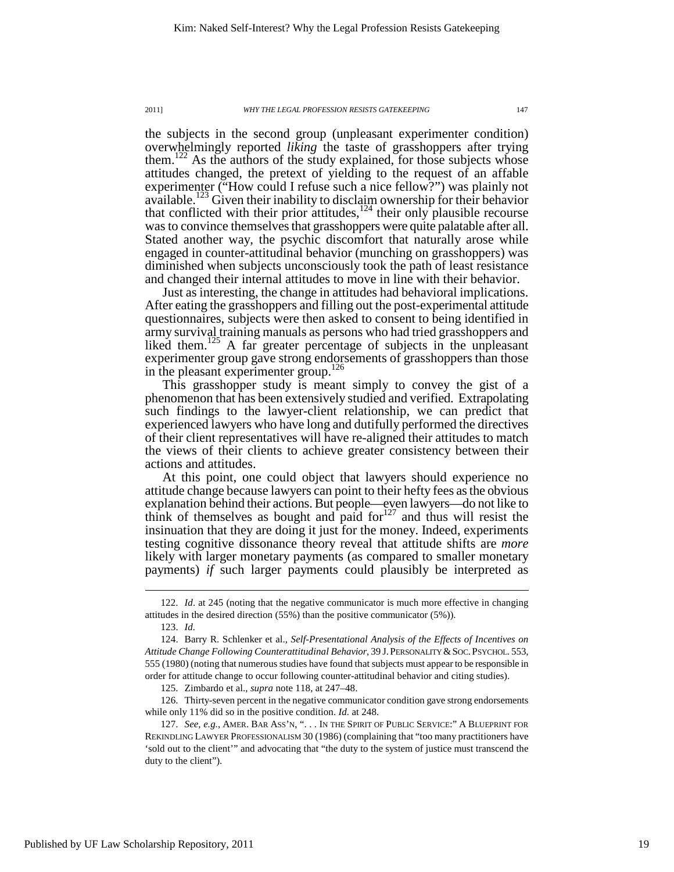the subjects in the second group (unpleasant experimenter condition) overwhelmingly reported *liking* the taste of grasshoppers after trying them.<sup>122</sup> As the authors of the study explained, for those subjects whose attitudes changed, the pretext of yielding to the request of an affable experimenter ("How could I refuse such a nice fellow?") was plainly not available.<sup>123</sup> Given their inability to disclaim ownership for their behavior that conflicted with their prior attitudes, $124$  their only plausible recourse was to convince themselves that grasshoppers were quite palatable after all. Stated another way, the psychic discomfort that naturally arose while engaged in counter-attitudinal behavior (munching on grasshoppers) was diminished when subjects unconsciously took the path of least resistance and changed their internal attitudes to move in line with their behavior.

Just as interesting, the change in attitudes had behavioral implications. After eating the grasshoppers and filling out the post-experimental attitude questionnaires, subjects were then asked to consent to being identified in army survival training manuals as persons who had tried grasshoppers and liked them.<sup>125</sup> A far greater percentage of subjects in the unpleasant experimenter group gave strong endorsements of grasshoppers than those in the pleasant experimenter group.<sup>126</sup>

This grasshopper study is meant simply to convey the gist of a phenomenon that has been extensively studied and verified. Extrapolating such findings to the lawyer-client relationship, we can predict that experienced lawyers who have long and dutifully performed the directives of their client representatives will have re-aligned their attitudes to match the views of their clients to achieve greater consistency between their actions and attitudes.

At this point, one could object that lawyers should experience no attitude change because lawyers can point to their hefty fees as the obvious explanation behind their actions. But people—even lawyers—do not like to think of themselves as bought and paid for $127$  and thus will resist the insinuation that they are doing it just for the money. Indeed, experiments testing cognitive dissonance theory reveal that attitude shifts are *more* likely with larger monetary payments (as compared to smaller monetary payments) *if* such larger payments could plausibly be interpreted as

 $\overline{a}$ 

125. Zimbardo et al., *supra* note 118, at 247–48.

 126. Thirty-seven percent in the negative communicator condition gave strong endorsements while only 11% did so in the positive condition. *Id.* at 248.

 <sup>122.</sup> *Id*. at 245 (noting that the negative communicator is much more effective in changing attitudes in the desired direction (55%) than the positive communicator (5%)).

 <sup>123.</sup> *Id.*

 <sup>124.</sup> Barry R. Schlenker et al., *Self-Presentational Analysis of the Effects of Incentives on Attitude Change Following Counterattitudinal Behavior*, 39 J.PERSONALITY &SOC.PSYCHOL. 553, 555 (1980) (noting that numerous studies have found that subjects must appear to be responsible in order for attitude change to occur following counter-attitudinal behavior and citing studies).

 <sup>127.</sup> *See, e.g.*, AMER. BAR ASS'N, ". . . IN THE SPIRIT OF PUBLIC SERVICE:" A BLUEPRINT FOR REKINDLING LAWYER PROFESSIONALISM 30 (1986) (complaining that "too many practitioners have 'sold out to the client'" and advocating that "the duty to the system of justice must transcend the duty to the client").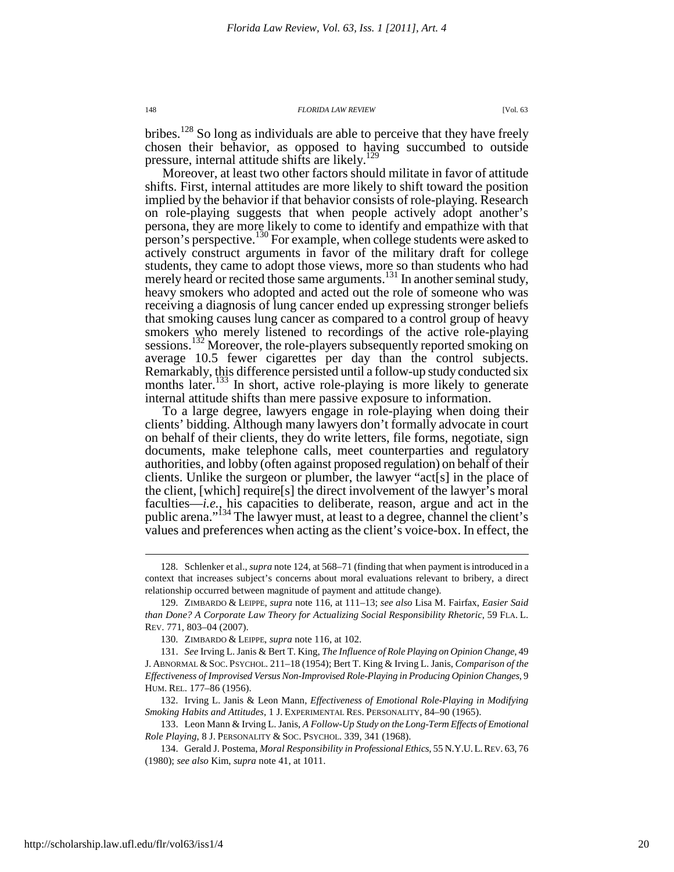bribes.<sup>128</sup> So long as individuals are able to perceive that they have freely chosen their behavior, as opposed to having succumbed to outside pressure, internal attitude shifts are likely.<sup>129</sup>

Moreover, at least two other factors should militate in favor of attitude shifts. First, internal attitudes are more likely to shift toward the position implied by the behavior if that behavior consists of role-playing. Research on role-playing suggests that when people actively adopt another's persona, they are more likely to come to identify and empathize with that person's perspective.<sup>130</sup> For example, when college students were asked to actively construct arguments in favor of the military draft for college students, they came to adopt those views, more so than students who had merely heard or recited those same arguments.<sup>131</sup> In another seminal study, heavy smokers who adopted and acted out the role of someone who was receiving a diagnosis of lung cancer ended up expressing stronger beliefs that smoking causes lung cancer as compared to a control group of heavy smokers who merely listened to recordings of the active role-playing sessions.<sup>132</sup> Moreover, the role-players subsequently reported smoking on average 10.5 fewer cigarettes per day than the control subjects. Remarkably, this difference persisted until a follow-up study conducted six months later.<sup>133</sup> In short, active role-playing is more likely to generate internal attitude shifts than mere passive exposure to information.

To a large degree, lawyers engage in role-playing when doing their clients' bidding. Although many lawyers don't formally advocate in court on behalf of their clients, they do write letters, file forms, negotiate, sign documents, make telephone calls, meet counterparties and regulatory authorities, and lobby (often against proposed regulation) on behalf of their clients. Unlike the surgeon or plumber, the lawyer "act[s] in the place of the client, [which] require[s] the direct involvement of the lawyer's moral faculties—*i.e.*, his capacities to deliberate, reason, argue and act in the public arena."<sup>134</sup> The lawyer must, at least to a degree, channel the client's values and preferences when acting as the client's voice-box. In effect, the

 <sup>128.</sup> Schlenker et al., *supra* note 124, at 568–71 (finding that when payment is introduced in a context that increases subject's concerns about moral evaluations relevant to bribery, a direct relationship occurred between magnitude of payment and attitude change).

 <sup>129.</sup> ZIMBARDO & LEIPPE, *supra* note 116, at 111–13; *see also* Lisa M. Fairfax, *Easier Said than Done? A Corporate Law Theory for Actualizing Social Responsibility Rhetoric*, 59 FLA. L. REV. 771, 803–04 (2007).

 <sup>130.</sup> ZIMBARDO & LEIPPE, *supra* note 116, at 102.

 <sup>131.</sup> *See* Irving L. Janis & Bert T. King, *The Influence of Role Playing on Opinion Change*, 49 J. ABNORMAL & SOC. PSYCHOL. 211–18 (1954); Bert T. King & Irving L. Janis, *Comparison of the Effectiveness of Improvised Versus Non-Improvised Role-Playing in Producing Opinion Changes*, 9 HUM. REL. 177–86 (1956).

 <sup>132.</sup> Irving L. Janis & Leon Mann, *Effectiveness of Emotional Role-Playing in Modifying Smoking Habits and Attitudes*, 1 J. EXPERIMENTAL RES. PERSONALITY, 84–90 (1965).

 <sup>133.</sup> Leon Mann & Irving L. Janis, *A Follow-Up Study on the Long-Term Effects of Emotional Role Playing*, 8 J. PERSONALITY & SOC. PSYCHOL. 339, 341 (1968).

 <sup>134.</sup> Gerald J. Postema, *Moral Responsibility in Professional Ethics*, 55 N.Y.U.L.REV. 63, 76 (1980); *see also* Kim, *supra* note 41, at 1011.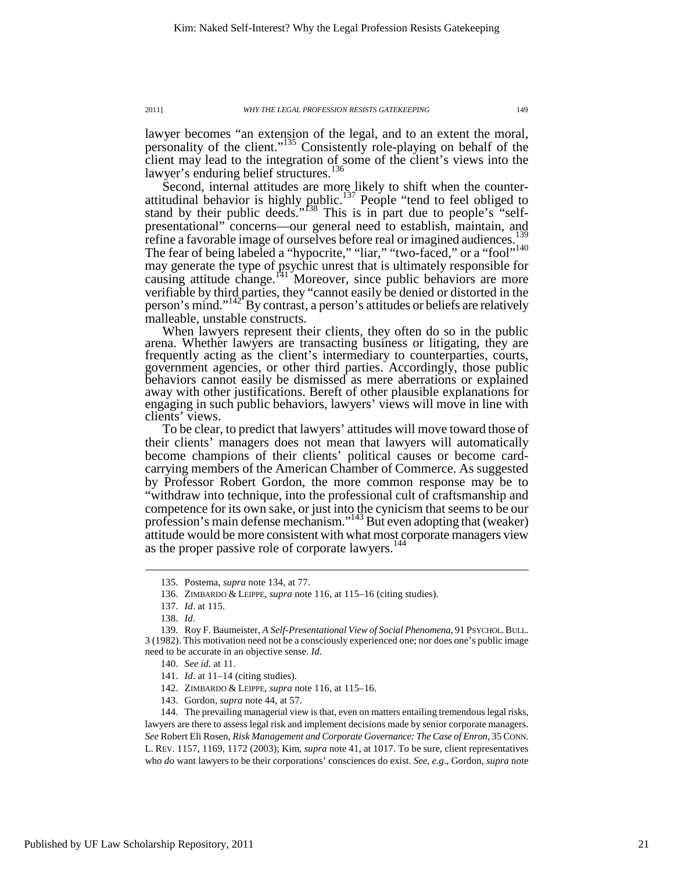lawyer becomes "an extension of the legal, and to an extent the moral, personality of the client."<sup>135</sup> Consistently role-playing on behalf of the client may lead to the integration of some of the client's views into the lawyer's enduring belief structures.<sup>136</sup>

Second, internal attitudes are more likely to shift when the counterattitudinal behavior is highly public.<sup>137</sup> People "tend to feel obliged to stand by their public deeds."<sup>138</sup> This is in part due to people's "selfpresentational" concerns—our general need to establish, maintain, and refine a favorable image of ourselves before real or imagined audiences.<sup>139</sup> The fear of being labeled a "hypocrite," "liar," "two-faced," or a "fool"<sup>140</sup> may generate the type of psychic unrest that is ultimately responsible for causing attitude change.<sup>141</sup> Moreover, since public behaviors are more verifiable by third parties, they "cannot easily be denied or distorted in the person's mind." $142^{\circ}$ By contrast, a person's attitudes or beliefs are relatively malleable, unstable constructs.

When lawyers represent their clients, they often do so in the public arena. Whether lawyers are transacting business or litigating, they are frequently acting as the client's intermediary to counterparties, courts, government agencies, or other third parties. Accordingly, those public behaviors cannot easily be dismissed as mere aberrations or explained away with other justifications. Bereft of other plausible explanations for engaging in such public behaviors, lawyers' views will move in line with clients' views.

To be clear, to predict that lawyers' attitudes will move toward those of their clients' managers does not mean that lawyers will automatically become champions of their clients' political causes or become cardcarrying members of the American Chamber of Commerce. As suggested by Professor Robert Gordon, the more common response may be to "withdraw into technique, into the professional cult of craftsmanship and competence for its own sake, or just into the cynicism that seems to be our profession's main defense mechanism."<sup>143</sup> But even adopting that (weaker) attitude would be more consistent with what most corporate managers view as the proper passive role of corporate lawyers.<sup>144</sup>

 <sup>135.</sup> Postema, *supra* note 134, at 77.

 <sup>136.</sup> ZIMBARDO & LEIPPE, *supra* note 116, at 115–16 (citing studies).

 <sup>137.</sup> *Id*. at 115.

 <sup>138.</sup> *Id*.

 <sup>139.</sup> Roy F. Baumeister, *A Self-Presentational View of Social Phenomena*, 91 PSYCHOL.BULL. 3 (1982). This motivation need not be a consciously experienced one; nor does one's public image need to be accurate in an objective sense. *Id.*

 <sup>140.</sup> *See id.* at 11.

 <sup>141.</sup> *Id*. at 11–14 (citing studies).

 <sup>142.</sup> ZIMBARDO & LEIPPE, *supra* note 116, at 115–16.

 <sup>143.</sup> Gordon, *supra* note 44, at 57.

 <sup>144.</sup> The prevailing managerial view is that, even on matters entailing tremendous legal risks, lawyers are there to assess legal risk and implement decisions made by senior corporate managers. *See* Robert Eli Rosen, *Risk Management and Corporate Governance: The Case of Enron*, 35 CONN. L. REV. 1157, 1169, 1172 (2003); Kim, *supra* note 41, at 1017. To be sure, client representatives who *do* want lawyers to be their corporations' consciences do exist. *See, e.g*., Gordon, *supra* note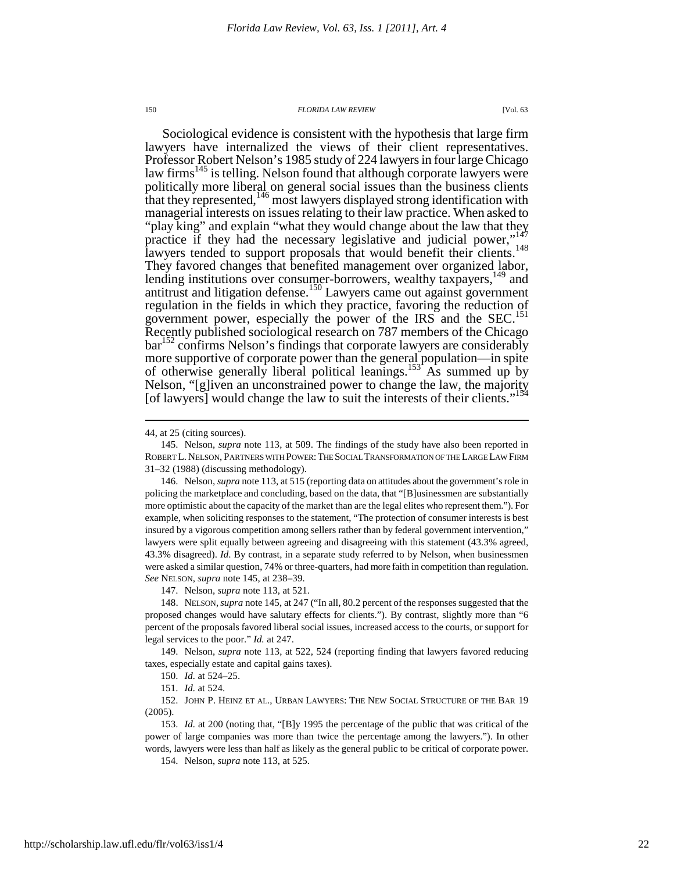Sociological evidence is consistent with the hypothesis that large firm lawyers have internalized the views of their client representatives. Professor Robert Nelson's 1985 study of 224 lawyers in four large Chicago law firms<sup>145</sup> is telling. Nelson found that although corporate lawyers were politically more liberal on general social issues than the business clients that they represented,<sup>146</sup> most lawyers displayed strong identification with managerial interests on issues relating to their law practice. When asked to "play king" and explain "what they would change about the law that they practice if they had the necessary legislative and judicial power,"<sup>147</sup> lawyers tended to support proposals that would benefit their clients.<sup>148</sup> They favored changes that benefited management over organized labor, lending institutions over consumer-borrowers, wealthy taxpayers,<sup>149</sup> and antitrust and litigation defense.<sup>150</sup> Lawyers came out against government regulation in the fields in which they practice, favoring the reduction of government power, especially the power of the IRS and the SEC.<sup>151</sup> Recently published sociological research on 787 members of the Chicago bar<sup>152</sup> confirms Nelson's findings that corporate lawyers are considerably more supportive of corporate power than the general population—in spite of otherwise generally liberal political leanings.<sup>153</sup> As summed up by Nelson, "[g]iven an unconstrained power to change the law, the majority [of lawyers] would change the law to suit the interests of their clients."<sup>154</sup>

 $\overline{a}$ 

147. Nelson, *supra* note 113, at 521.

 148. NELSON,*supra* note 145, at 247 ("In all, 80.2 percent of the responses suggested that the proposed changes would have salutary effects for clients."). By contrast, slightly more than "6 percent of the proposals favored liberal social issues, increased access to the courts, or support for legal services to the poor." *Id.* at 247.

 149. Nelson, *supra* note 113, at 522, 524 (reporting finding that lawyers favored reducing taxes, especially estate and capital gains taxes).

150. *Id.* at 524–25.

151. *Id.* at 524.

 152. JOHN P. HEINZ ET AL., URBAN LAWYERS: THE NEW SOCIAL STRUCTURE OF THE BAR 19 (2005).

 153. *Id.* at 200 (noting that, "[B]y 1995 the percentage of the public that was critical of the power of large companies was more than twice the percentage among the lawyers."). In other words, lawyers were less than half as likely as the general public to be critical of corporate power.

154. Nelson, *supra* note 113, at 525.

<sup>44,</sup> at 25 (citing sources).

 <sup>145.</sup> Nelson, *supra* note 113, at 509. The findings of the study have also been reported in ROBERT L. NELSON, PARTNERS WITH POWER:THE SOCIAL TRANSFORMATION OF THE LARGE LAW FIRM 31–32 (1988) (discussing methodology).

 <sup>146.</sup> Nelson, *supra* note 113, at 515 (reporting data on attitudes about the government's role in policing the marketplace and concluding, based on the data, that "[B]usinessmen are substantially more optimistic about the capacity of the market than are the legal elites who represent them."). For example, when soliciting responses to the statement, "The protection of consumer interests is best insured by a vigorous competition among sellers rather than by federal government intervention," lawyers were split equally between agreeing and disagreeing with this statement (43.3% agreed, 43.3% disagreed). *Id*. By contrast, in a separate study referred to by Nelson, when businessmen were asked a similar question, 74% or three-quarters, had more faith in competition than regulation. *See* NELSON, *supra* note 145, at 238–39.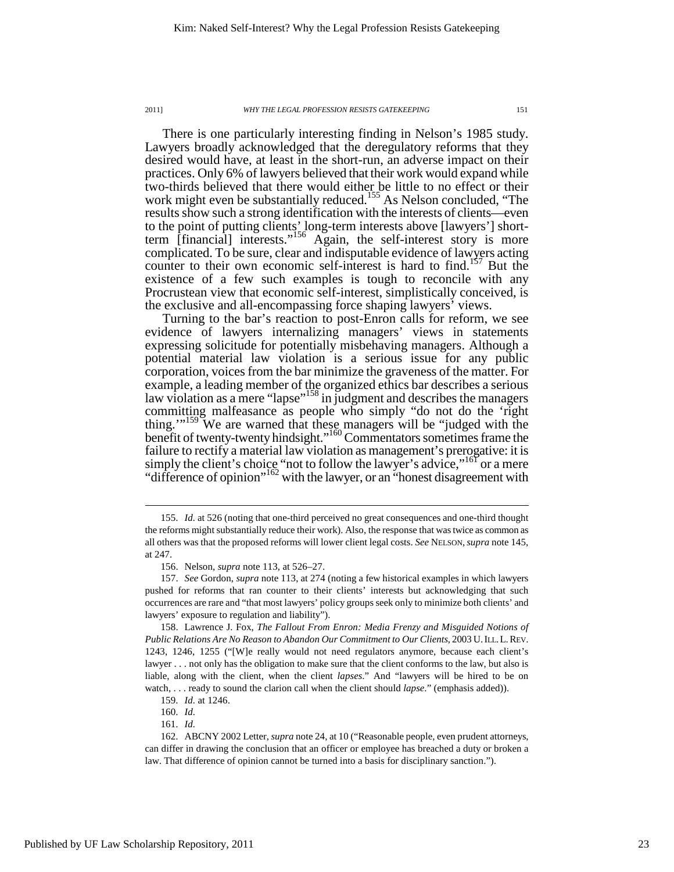There is one particularly interesting finding in Nelson's 1985 study. Lawyers broadly acknowledged that the deregulatory reforms that they desired would have, at least in the short-run, an adverse impact on their practices. Only 6% of lawyers believed that their work would expand while two-thirds believed that there would either be little to no effect or their work might even be substantially reduced.<sup>155</sup> As Nelson concluded, "The results show such a strong identification with the interests of clients—even to the point of putting clients' long-term interests above [lawyers'] shortterm [financial] interests."<sup>156</sup> Again, the self-interest story is more complicated. To be sure, clear and indisputable evidence of lawyers acting counter to their own economic self-interest is hard to find.<sup>157</sup> But the existence of a few such examples is tough to reconcile with any Procrustean view that economic self-interest, simplistically conceived, is the exclusive and all-encompassing force shaping lawyers' views.

Turning to the bar's reaction to post-Enron calls for reform, we see evidence of lawyers internalizing managers' views in statements expressing solicitude for potentially misbehaving managers. Although a potential material law violation is a serious issue for any public corporation, voices from the bar minimize the graveness of the matter. For example, a leading member of the organized ethics bar describes a serious law violation as a mere "lapse"<sup>158</sup> in judgment and describes the managers committing malfeasance as people who simply "do not do the 'right thing."<sup>159</sup> We are warned that these managers will be "judged with the benefit of twenty-twenty hindsight."<sup>160</sup> Commentators sometimes frame the failure to rectify a material law violation as management's prerogative: it is simply the client's choice "not to follow the lawyer's advice,"<sup>161</sup> or a mere "difference of opinion"<sup>162</sup> with the lawyer, or an "honest disagreement with

 <sup>155.</sup> *Id.* at 526 (noting that one-third perceived no great consequences and one-third thought the reforms might substantially reduce their work). Also, the response that was twice as common as all others was that the proposed reforms will lower client legal costs. *See* NELSON,*supra* note 145, at 247.

 <sup>156.</sup> Nelson, *supra* note 113, at 526–27.

 <sup>157.</sup> *See* Gordon, *supra* note 113, at 274 (noting a few historical examples in which lawyers pushed for reforms that ran counter to their clients' interests but acknowledging that such occurrences are rare and "that most lawyers' policy groups seek only to minimize both clients' and lawyers' exposure to regulation and liability").

 <sup>158.</sup> Lawrence J. Fox, *The Fallout From Enron: Media Frenzy and Misguided Notions of Public Relations Are No Reason to Abandon Our Commitment to Our Clients*, 2003 U.ILL.L.REV. 1243, 1246, 1255 ("[W]e really would not need regulators anymore, because each client's lawyer . . . not only has the obligation to make sure that the client conforms to the law, but also is liable, along with the client, when the client *lapses*." And "lawyers will be hired to be on watch, . . . ready to sound the clarion call when the client should *lapse*." (emphasis added)).

 <sup>159.</sup> *Id.* at 1246.

 <sup>160.</sup> *Id.*

 <sup>161.</sup> *Id.*

 <sup>162.</sup> ABCNY 2002 Letter, *supra* note 24, at 10 ("Reasonable people, even prudent attorneys, can differ in drawing the conclusion that an officer or employee has breached a duty or broken a law. That difference of opinion cannot be turned into a basis for disciplinary sanction.").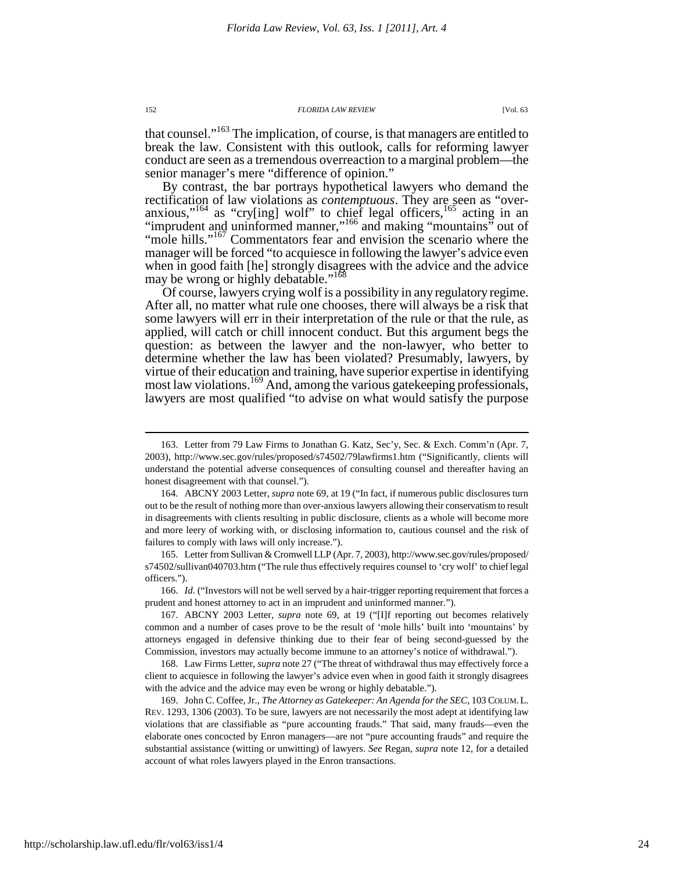that counsel."<sup>163</sup> The implication, of course, is that managers are entitled to break the law. Consistent with this outlook, calls for reforming lawyer conduct are seen as a tremendous overreaction to a marginal problem—the senior manager's mere "difference of opinion."

By contrast, the bar portrays hypothetical lawyers who demand the rectification of law violations as *contemptuous*. They are seen as "overanxious,"<sup>164</sup> as "cry[ing] wolf" to chief legal officers,  $165$  acting in an "imprudent and uninformed manner,"<sup>166</sup> and making "mountains" out of "mole hills."<sup>167</sup> Commentators fear and envision the scenario where the manager will be forced "to acquiesce in following the lawyer's advice even when in good faith [he] strongly disagrees with the advice and the advice may be wrong or highly debatable."<sup>168</sup>

Of course, lawyers crying wolf is a possibility in any regulatory regime. After all, no matter what rule one chooses, there will always be a risk that some lawyers will err in their interpretation of the rule or that the rule, as applied, will catch or chill innocent conduct. But this argument begs the question: as between the lawyer and the non-lawyer, who better to determine whether the law has been violated? Presumably, lawyers, by virtue of their education and training, have superior expertise in identifying most law violations.<sup>169</sup> And, among the various gatekeeping professionals, lawyers are most qualified "to advise on what would satisfy the purpose

 <sup>163.</sup> Letter from 79 Law Firms to Jonathan G. Katz, Sec'y, Sec. & Exch. Comm'n (Apr. 7, 2003), http://www.sec.gov/rules/proposed/s74502/79lawfirms1.htm ("Significantly, clients will understand the potential adverse consequences of consulting counsel and thereafter having an honest disagreement with that counsel.").

 <sup>164.</sup> ABCNY 2003 Letter, *supra* note 69, at 19 ("In fact, if numerous public disclosures turn out to be the result of nothing more than over-anxious lawyers allowing their conservatism to result in disagreements with clients resulting in public disclosure, clients as a whole will become more and more leery of working with, or disclosing information to, cautious counsel and the risk of failures to comply with laws will only increase.").

 <sup>165.</sup> Letter from Sullivan & Cromwell LLP (Apr. 7, 2003), http://www.sec.gov/rules/proposed/ s74502/sullivan040703.htm ("The rule thus effectively requires counsel to 'cry wolf' to chief legal officers.").

<sup>166.</sup> *Id.* ("Investors will not be well served by a hair-trigger reporting requirement that forces a prudent and honest attorney to act in an imprudent and uninformed manner.").

 <sup>167.</sup> ABCNY 2003 Letter, *supra* note 69, at 19 ("[I]f reporting out becomes relatively common and a number of cases prove to be the result of 'mole hills' built into 'mountains' by attorneys engaged in defensive thinking due to their fear of being second-guessed by the Commission, investors may actually become immune to an attorney's notice of withdrawal.").

 <sup>168.</sup> Law Firms Letter, *supra* note 27 ("The threat of withdrawal thus may effectively force a client to acquiesce in following the lawyer's advice even when in good faith it strongly disagrees with the advice and the advice may even be wrong or highly debatable.").

 <sup>169.</sup> John C. Coffee, Jr., *The Attorney as Gatekeeper: An Agenda for the SEC*, 103 COLUM.L. REV. 1293, 1306 (2003). To be sure, lawyers are not necessarily the most adept at identifying law violations that are classifiable as "pure accounting frauds." That said, many frauds—even the elaborate ones concocted by Enron managers—are not "pure accounting frauds" and require the substantial assistance (witting or unwitting) of lawyers. *See* Regan, *supra* note 12, for a detailed account of what roles lawyers played in the Enron transactions.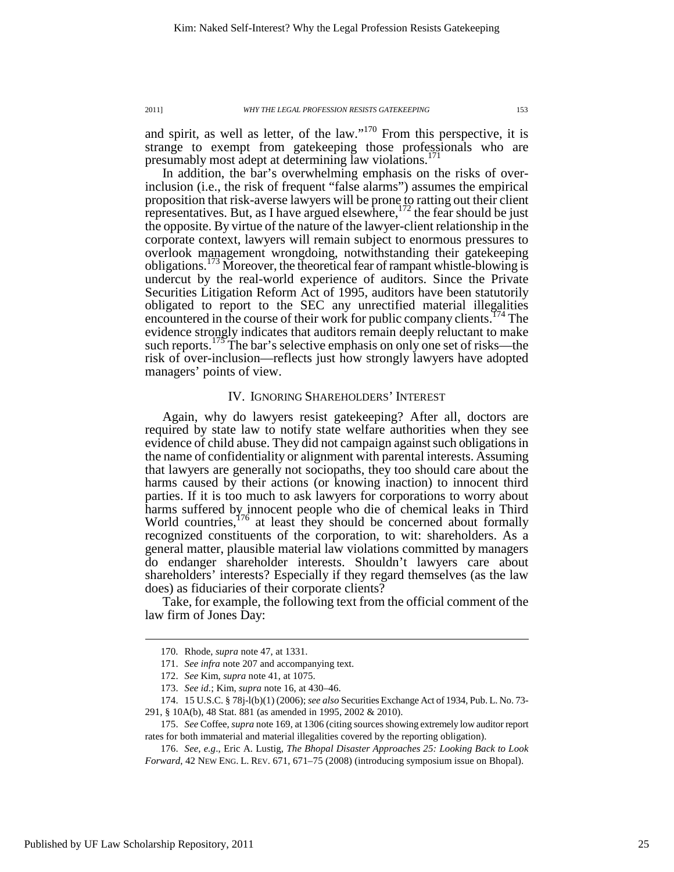and spirit, as well as letter, of the law."<sup>170</sup> From this perspective, it is strange to exempt from gatekeeping those professionals who are presumably most adept at determining law violations. 171

In addition, the bar's overwhelming emphasis on the risks of overinclusion (i.e., the risk of frequent "false alarms") assumes the empirical proposition that risk-averse lawyers will be prone to ratting out their client representatives. But, as I have argued elsewhere,  $^{172}$  the fear should be just the opposite. By virtue of the nature of the lawyer-client relationship in the corporate context, lawyers will remain subject to enormous pressures to overlook management wrongdoing, notwithstanding their gatekeeping obligations.<sup>173</sup> Moreover, the theoretical fear of rampant whistle-blowing is undercut by the real-world experience of auditors. Since the Private Securities Litigation Reform Act of 1995, auditors have been statutorily obligated to report to the SEC any unrectified material illegalities encountered in the course of their work for public company clients.<sup> $1/4$ </sup> The evidence strongly indicates that auditors remain deeply reluctant to make such reports.<sup>175</sup> The bar's selective emphasis on only one set of risks—the risk of over-inclusion—reflects just how strongly lawyers have adopted managers' points of view.

## IV. IGNORING SHAREHOLDERS' INTEREST

Again, why do lawyers resist gatekeeping? After all, doctors are required by state law to notify state welfare authorities when they see evidence of child abuse. They did not campaign against such obligations in the name of confidentiality or alignment with parental interests. Assuming that lawyers are generally not sociopaths, they too should care about the harms caused by their actions (or knowing inaction) to innocent third parties. If it is too much to ask lawyers for corporations to worry about harms suffered by innocent people who die of chemical leaks in Third World countries,<sup>176</sup> at least they should be concerned about formally recognized constituents of the corporation, to wit: shareholders. As a general matter, plausible material law violations committed by managers do endanger shareholder interests. Shouldn't lawyers care about shareholders' interests? Especially if they regard themselves (as the law does) as fiduciaries of their corporate clients?

Take, for example, the following text from the official comment of the law firm of Jones Day:

 <sup>170.</sup> Rhode, *supra* note 47, at 1331.

 <sup>171.</sup> *See infra* note 207 and accompanying text.

 <sup>172.</sup> *See* Kim, *supra* note 41, at 1075.

 <sup>173.</sup> *See id.*; Kim, *supra* note 16, at 430–46.

 <sup>174. 15</sup> U.S.C. § 78j-l(b)(1) (2006); *see also* Securities Exchange Act of 1934, Pub. L. No. 73- 291, § 10A(b), 48 Stat. 881 (as amended in 1995, 2002 & 2010).

 <sup>175.</sup> *See* Coffee, *supra* note 169, at 1306 (citing sources showing extremely low auditor report rates for both immaterial and material illegalities covered by the reporting obligation).

 <sup>176.</sup> *See, e.g*., Eric A. Lustig, *The Bhopal Disaster Approaches 25: Looking Back to Look Forward*, 42 NEW ENG. L. REV. 671, 671–75 (2008) (introducing symposium issue on Bhopal).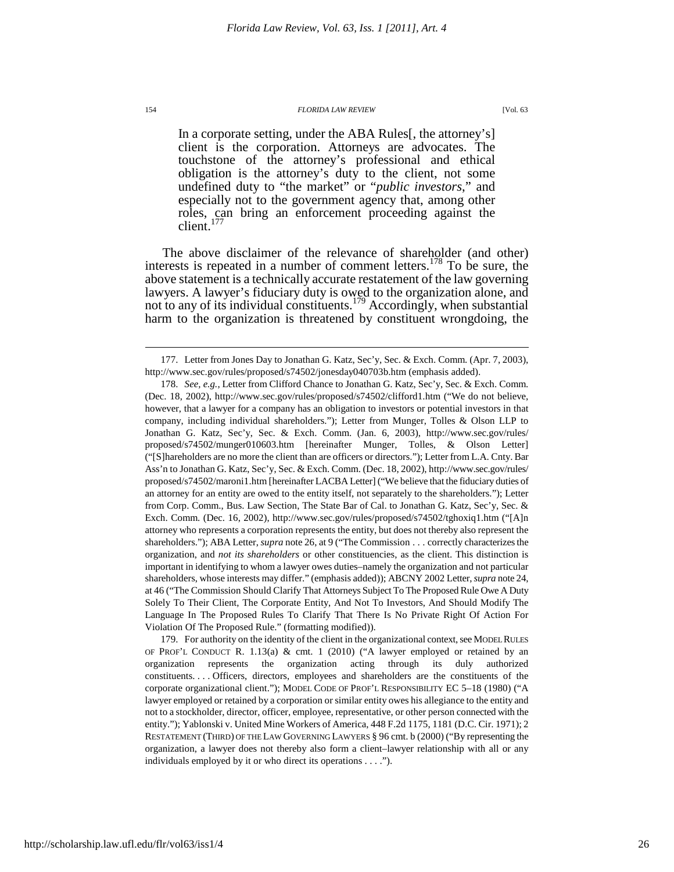In a corporate setting, under the ABA Rules[, the attorney's] client is the corporation. Attorneys are advocates. The touchstone of the attorney's professional and ethical obligation is the attorney's duty to the client, not some undefined duty to "the market" or "*public investors*," and especially not to the government agency that, among other roles, can bring an enforcement proceeding against the client.<sup>177</sup>

The above disclaimer of the relevance of shareholder (and other) interests is repeated in a number of comment letters.<sup>178</sup> To be sure, the above statement is a technically accurate restatement of the law governing lawyers. A lawyer's fiduciary duty is owed to the organization alone, and not to any of its individual constituents.<sup>179</sup> Accordingly, when substantial harm to the organization is threatened by constituent wrongdoing, the

 <sup>177.</sup> Letter from Jones Day to Jonathan G. Katz, Sec'y, Sec. & Exch. Comm. (Apr. 7, 2003), http://www.sec.gov/rules/proposed/s74502/jonesday040703b.htm (emphasis added).

 <sup>178.</sup> *See, e.g.*, Letter from Clifford Chance to Jonathan G. Katz, Sec'y, Sec. & Exch. Comm. (Dec. 18, 2002), http://www.sec.gov/rules/proposed/s74502/clifford1.htm ("We do not believe, however, that a lawyer for a company has an obligation to investors or potential investors in that company, including individual shareholders."); Letter from Munger, Tolles & Olson LLP to Jonathan G. Katz, Sec'y, Sec. & Exch. Comm. (Jan. 6, 2003), http://www.sec.gov/rules/ proposed/s74502/munger010603.htm [hereinafter Munger, Tolles, & Olson Letter] ("[S]hareholders are no more the client than are officers or directors."); Letter from L.A. Cnty. Bar Ass'n to Jonathan G. Katz, Sec'y, Sec. & Exch. Comm. (Dec. 18, 2002), http://www.sec.gov/rules/ proposed/s74502/maroni1.htm [hereinafter LACBA Letter] ("We believe that the fiduciary duties of an attorney for an entity are owed to the entity itself, not separately to the shareholders."); Letter from Corp. Comm., Bus. Law Section, The State Bar of Cal. to Jonathan G. Katz, Sec'y, Sec. & Exch. Comm. (Dec. 16, 2002), http://www.sec.gov/rules/proposed/s74502/tghoxiq1.htm ("[A]n attorney who represents a corporation represents the entity, but does not thereby also represent the shareholders."); ABA Letter, *supra* note 26, at 9 ("The Commission . . . correctly characterizes the organization, and *not its shareholders* or other constituencies, as the client. This distinction is important in identifying to whom a lawyer owes duties–namely the organization and not particular shareholders, whose interests may differ." (emphasis added)); ABCNY 2002 Letter, *supra* note 24, at 46 ("The Commission Should Clarify That Attorneys Subject To The Proposed Rule Owe A Duty Solely To Their Client, The Corporate Entity, And Not To Investors, And Should Modify The Language In The Proposed Rules To Clarify That There Is No Private Right Of Action For Violation Of The Proposed Rule." (formatting modified)).

 <sup>179.</sup> For authority on the identity of the client in the organizational context, see MODEL RULES OF PROF'L CONDUCT R. 1.13(a) & cmt. 1 (2010) ("A lawyer employed or retained by an organization represents the organization acting through its duly authorized constituents. . . . Officers, directors, employees and shareholders are the constituents of the corporate organizational client."); MODEL CODE OF PROF'L RESPONSIBILITY EC 5–18 (1980) ("A lawyer employed or retained by a corporation or similar entity owes his allegiance to the entity and not to a stockholder, director, officer, employee, representative, or other person connected with the entity."); Yablonski v. United Mine Workers of America, 448 F.2d 1175, 1181 (D.C. Cir. 1971); 2 RESTATEMENT (THIRD) OF THE LAW GOVERNING LAWYERS § 96 cmt. b (2000) ("By representing the organization, a lawyer does not thereby also form a client–lawyer relationship with all or any individuals employed by it or who direct its operations . . . .").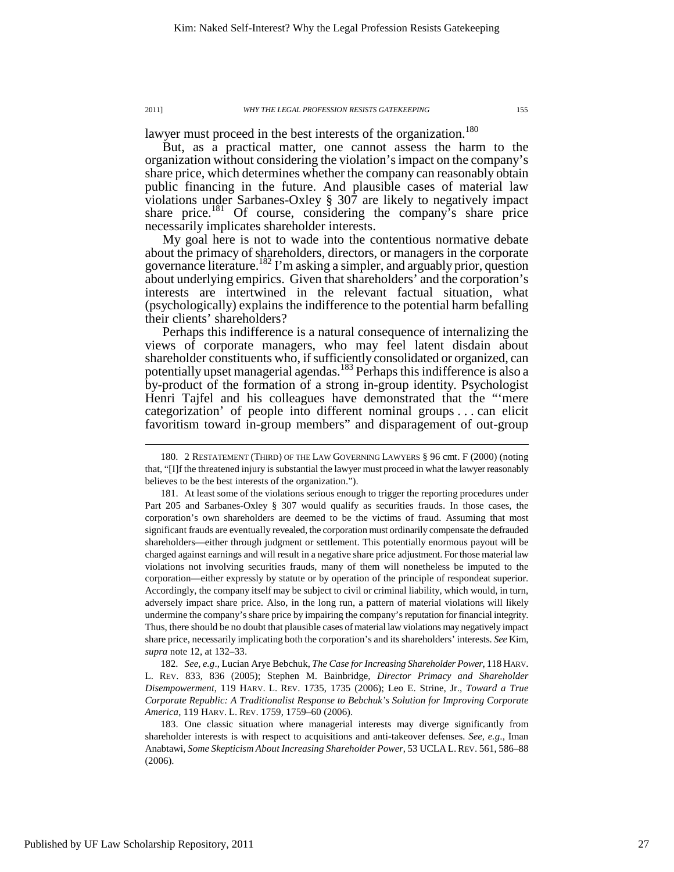$\overline{a}$ 

lawyer must proceed in the best interests of the organization.<sup>180</sup>

But, as a practical matter, one cannot assess the harm to the organization without considering the violation's impact on the company's share price, which determines whether the company can reasonably obtain public financing in the future. And plausible cases of material law violations under Sarbanes-Oxley § 307 are likely to negatively impact share price.<sup>181</sup> Of course, considering the company's share price necessarily implicates shareholder interests.

My goal here is not to wade into the contentious normative debate about the primacy of shareholders, directors, or managers in the corporate governance literature.<sup>182</sup> I'm asking a simpler, and arguably prior, question about underlying empirics. Given that shareholders' and the corporation's interests are intertwined in the relevant factual situation, what (psychologically) explains the indifference to the potential harm befalling their clients' shareholders?

Perhaps this indifference is a natural consequence of internalizing the views of corporate managers, who may feel latent disdain about shareholder constituents who, if sufficiently consolidated or organized, can potentially upset managerial agendas.<sup>183</sup> Perhaps this indifference is also a by-product of the formation of a strong in-group identity. Psychologist Henri Tajfel and his colleagues have demonstrated that the "'mere categorization' of people into different nominal groups . . . can elicit favoritism toward in-group members" and disparagement of out-group

 182. *See, e.g*., Lucian Arye Bebchuk, *The Case for Increasing Shareholder Power*, 118 HARV. L. REV. 833, 836 (2005); Stephen M. Bainbridge, *Director Primacy and Shareholder Disempowerment*, 119 HARV. L. REV. 1735, 1735 (2006); Leo E. Strine, Jr., *Toward a True Corporate Republic: A Traditionalist Response to Bebchuk's Solution for Improving Corporate America*, 119 HARV. L. REV. 1759, 1759–60 (2006).

 <sup>180. 2</sup> RESTATEMENT (THIRD) OF THE LAW GOVERNING LAWYERS § 96 cmt. F (2000) (noting that, "[I]f the threatened injury is substantial the lawyer must proceed in what the lawyer reasonably believes to be the best interests of the organization.").

 <sup>181.</sup> At least some of the violations serious enough to trigger the reporting procedures under Part 205 and Sarbanes-Oxley § 307 would qualify as securities frauds. In those cases, the corporation's own shareholders are deemed to be the victims of fraud. Assuming that most significant frauds are eventually revealed, the corporation must ordinarily compensate the defrauded shareholders—either through judgment or settlement. This potentially enormous payout will be charged against earnings and will result in a negative share price adjustment. For those material law violations not involving securities frauds, many of them will nonetheless be imputed to the corporation—either expressly by statute or by operation of the principle of respondeat superior. Accordingly, the company itself may be subject to civil or criminal liability, which would, in turn, adversely impact share price. Also, in the long run, a pattern of material violations will likely undermine the company's share price by impairing the company's reputation for financial integrity. Thus, there should be no doubt that plausible cases of material law violations may negatively impact share price, necessarily implicating both the corporation's and its shareholders' interests. *See* Kim, *supra* note 12, at 132–33.

 <sup>183.</sup> One classic situation where managerial interests may diverge significantly from shareholder interests is with respect to acquisitions and anti-takeover defenses. *See, e.g*., Iman Anabtawi, *Some Skepticism About Increasing Shareholder Power*, 53 UCLA L.REV. 561, 586–88 (2006).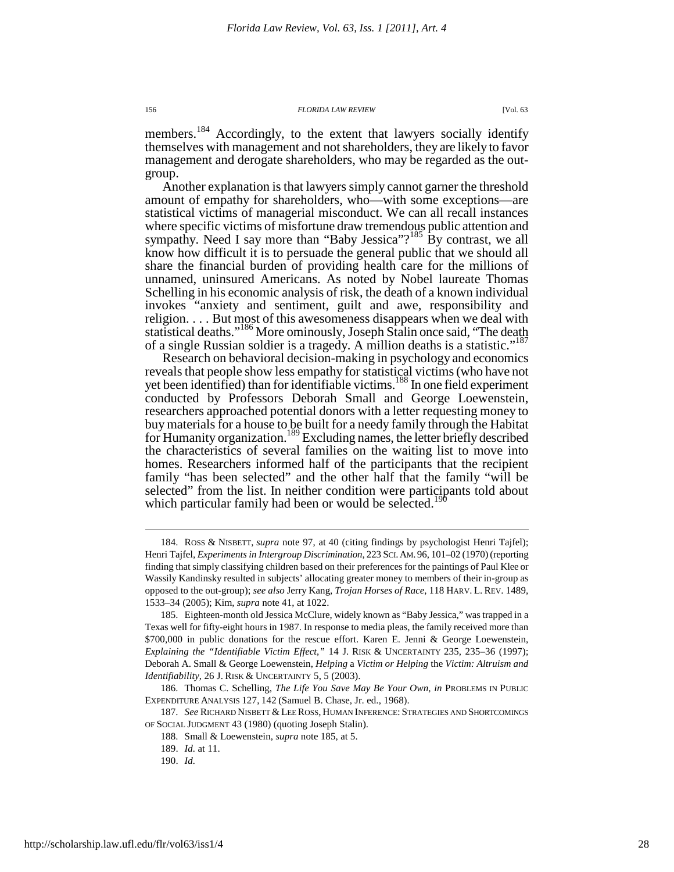members.<sup>184</sup> Accordingly, to the extent that lawyers socially identify themselves with management and not shareholders, they are likely to favor management and derogate shareholders, who may be regarded as the outgroup.

Another explanation is that lawyers simply cannot garner the threshold amount of empathy for shareholders, who—with some exceptions—are statistical victims of managerial misconduct. We can all recall instances where specific victims of misfortune draw tremendous public attention and sympathy. Need I say more than "Baby Jessica"?<sup>185</sup> By contrast, we all know how difficult it is to persuade the general public that we should all share the financial burden of providing health care for the millions of unnamed, uninsured Americans. As noted by Nobel laureate Thomas Schelling in his economic analysis of risk, the death of a known individual invokes "anxiety and sentiment, guilt and awe, responsibility and religion. . . . But most of this awesomeness disappears when we deal with statistical deaths."<sup>186</sup> More ominously, Joseph Stalin once said, "The death of a single Russian soldier is a tragedy. A million deaths is a statistic."<sup>187</sup>

Research on behavioral decision-making in psychology and economics reveals that people show less empathy for statistical victims (who have not yet been identified) than for identifiable victims.<sup>188</sup> In one field experiment conducted by Professors Deborah Small and George Loewenstein, researchers approached potential donors with a letter requesting money to buy materials for a house to be built for a needy family through the Habitat for Humanity organization.<sup>189</sup> Excluding names, the letter briefly described the characteristics of several families on the waiting list to move into homes. Researchers informed half of the participants that the recipient family "has been selected" and the other half that the family "will be selected" from the list. In neither condition were participants told about which particular family had been or would be selected.<sup>190</sup>

 187. *See* RICHARD NISBETT & LEE ROSS, HUMAN INFERENCE: STRATEGIES AND SHORTCOMINGS OF SOCIAL JUDGMENT 43 (1980) (quoting Joseph Stalin).

 <sup>184.</sup> ROSS & NISBETT, *supra* note 97, at 40 (citing findings by psychologist Henri Tajfel); Henri Tajfel, *Experiments in Intergroup Discrimination*, 223 SCI.AM. 96, 101–02 (1970) (reporting finding that simply classifying children based on their preferences for the paintings of Paul Klee or Wassily Kandinsky resulted in subjects' allocating greater money to members of their in-group as opposed to the out-group); *see also* Jerry Kang, *Trojan Horses of Race*, 118 HARV. L. REV. 1489, 1533–34 (2005); Kim, *supra* note 41, at 1022.

 <sup>185.</sup> Eighteen-month old Jessica McClure, widely known as "Baby Jessica," was trapped in a Texas well for fifty-eight hours in 1987. In response to media pleas, the family received more than \$700,000 in public donations for the rescue effort. Karen E. Jenni & George Loewenstein, *Explaining the "Identifiable Victim Effect*,*"* 14 J. RISK & UNCERTAINTY 235, 235–36 (1997); Deborah A. Small & George Loewenstein, *Helping* a *Victim or Helping* the *Victim: Altruism and Identifiability*, 26 J. RISK & UNCERTAINTY 5, 5 (2003).

 <sup>186.</sup> Thomas C. Schelling, *The Life You Save May Be Your Own*, *in* PROBLEMS IN PUBLIC EXPENDITURE ANALYSIS 127, 142 (Samuel B. Chase, Jr. ed., 1968).

 <sup>188.</sup> Small & Loewenstein, *supra* note 185, at 5.

 <sup>189.</sup> *Id.* at 11.

 <sup>190.</sup> *Id.*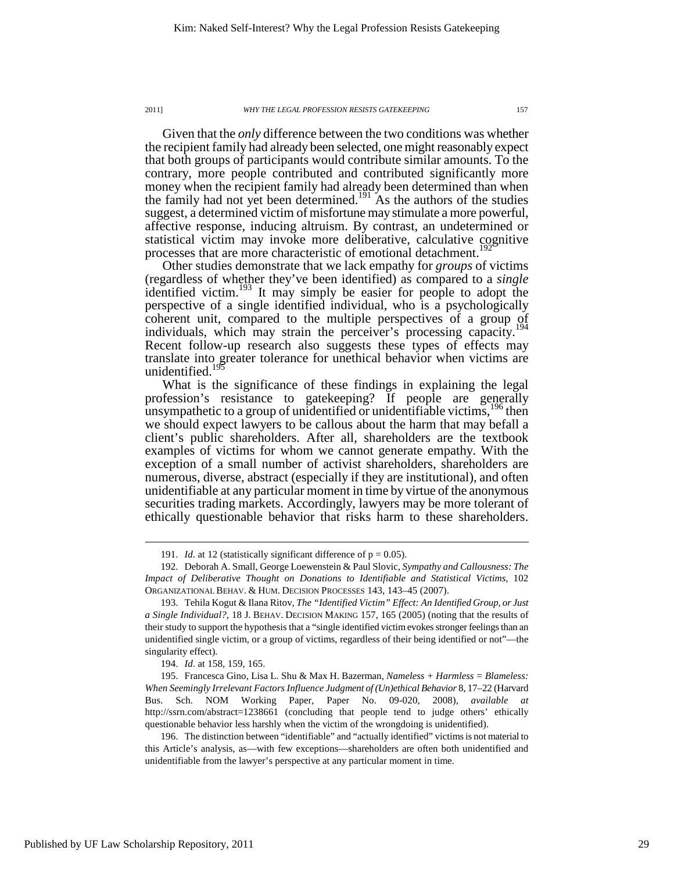Given that the *only* difference between the two conditions was whether the recipient family had already been selected, one might reasonably expect that both groups of participants would contribute similar amounts. To the contrary, more people contributed and contributed significantly more money when the recipient family had already been determined than when the family had not yet been determined.<sup>191</sup> As the authors of the studies suggest, a determined victim of misfortune may stimulate a more powerful, affective response, inducing altruism. By contrast, an undetermined or statistical victim may invoke more deliberative, calculative cognitive processes that are more characteristic of emotional detachment.<sup>192</sup>

Other studies demonstrate that we lack empathy for *groups* of victims (regardless of whether they've been identified) as compared to a *single* identified victim.<sup>193</sup> It may simply be easier for people to adopt the perspective of a single identified individual, who is a psychologically coherent unit, compared to the multiple perspectives of a group of individuals, which may strain the perceiver's processing capacity.<sup>194</sup> Recent follow-up research also suggests these types of effects may translate into greater tolerance for unethical behavior when victims are unidentified.<sup>19</sup>

What is the significance of these findings in explaining the legal profession's resistance to gatekeeping? If people are generally unsympathetic to a group of unidentified or unidentifiable victims,  $196$  then we should expect lawyers to be callous about the harm that may befall a client's public shareholders. After all, shareholders are the textbook examples of victims for whom we cannot generate empathy. With the exception of a small number of activist shareholders, shareholders are numerous, diverse, abstract (especially if they are institutional), and often unidentifiable at any particular moment in time by virtue of the anonymous securities trading markets. Accordingly, lawyers may be more tolerant of ethically questionable behavior that risks harm to these shareholders.

<sup>191.</sup> *Id.* at 12 (statistically significant difference of  $p = 0.05$ ).

 <sup>192.</sup> Deborah A. Small, George Loewenstein & Paul Slovic, *Sympathy and Callousness: The Impact of Deliberative Thought on Donations to Identifiable and Statistical Victims*, 102 ORGANIZATIONAL BEHAV. & HUM. DECISION PROCESSES 143, 143–45 (2007).

 <sup>193.</sup> Tehila Kogut & Ilana Ritov, *The "Identified Victim" Effect: An Identified Group, or Just a Single Individual?*, 18 J. BEHAV. DECISION MAKING 157, 165 (2005) (noting that the results of their study to support the hypothesis that a "single identified victim evokes stronger feelings than an unidentified single victim, or a group of victims, regardless of their being identified or not"—the singularity effect).

 <sup>194.</sup> *Id.* at 158, 159, 165.

 <sup>195.</sup> Francesca Gino, Lisa L. Shu & Max H. Bazerman, *Nameless + Harmless = Blameless: When Seemingly Irrelevant Factors Influence Judgment of (Un)ethical Behavior* 8, 17–22 (Harvard Bus. Sch. NOM Working Paper, Paper No. 09-020, 2008), *available at* http://ssrn.com/abstract=1238661 (concluding that people tend to judge others' ethically questionable behavior less harshly when the victim of the wrongdoing is unidentified).

 <sup>196.</sup> The distinction between "identifiable" and "actually identified" victims is not material to this Article's analysis, as—with few exceptions—shareholders are often both unidentified and unidentifiable from the lawyer's perspective at any particular moment in time.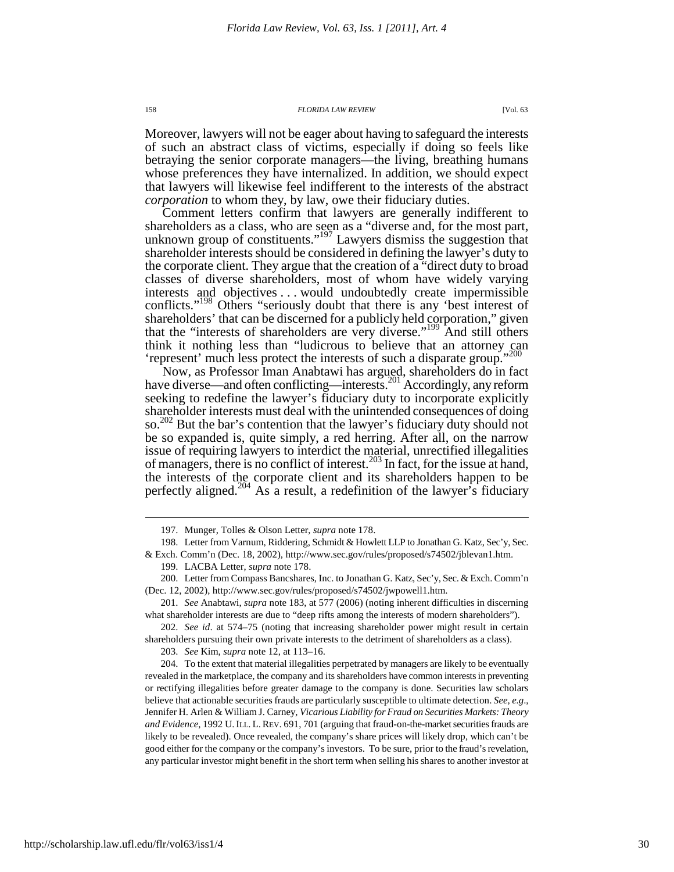Moreover, lawyers will not be eager about having to safeguard the interests of such an abstract class of victims, especially if doing so feels like betraying the senior corporate managers—the living, breathing humans whose preferences they have internalized. In addition, we should expect that lawyers will likewise feel indifferent to the interests of the abstract *corporation* to whom they, by law, owe their fiduciary duties.

Comment letters confirm that lawyers are generally indifferent to shareholders as a class, who are seen as a "diverse and, for the most part, unknown group of constituents."<sup>197</sup> Lawyers dismiss the suggestion that shareholder interests should be considered in defining the lawyer's duty to the corporate client. They argue that the creation of a "direct duty to broad classes of diverse shareholders, most of whom have widely varying interests and objectives . . . would undoubtedly create impermissible conflicts."<sup>198</sup> Others "seriously doubt that there is any 'best interest of shareholders' that can be discerned for a publicly held corporation," given that the "interests of shareholders are very diverse."<sup>199</sup> And still others think it nothing less than "ludicrous to believe that an attorney can 'represent' much less protect the interests of such a disparate group."<sup>200</sup>

Now, as Professor Iman Anabtawi has argued, shareholders do in fact have diverse—and often conflicting—interests.<sup>201</sup> Accordingly, any reform seeking to redefine the lawyer's fiduciary duty to incorporate explicitly shareholder interests must deal with the unintended consequences of doing so.<sup>202</sup> But the bar's contention that the lawyer's fiduciary duty should not be so expanded is, quite simply, a red herring. After all, on the narrow issue of requiring lawyers to interdict the material, unrectified illegalities of managers, there is no conflict of interest.<sup>203</sup> In fact, for the issue at hand, the interests of the corporate client and its shareholders happen to be perfectly aligned.<sup>204</sup> As a result, a redefinition of the lawyer's fiduciary

 202. *See id*. at 574–75 (noting that increasing shareholder power might result in certain shareholders pursuing their own private interests to the detriment of shareholders as a class).

203. *See* Kim, *supra* note 12, at 113–16.

 204. To the extent that material illegalities perpetrated by managers are likely to be eventually revealed in the marketplace, the company and its shareholders have common interests in preventing or rectifying illegalities before greater damage to the company is done. Securities law scholars believe that actionable securities frauds are particularly susceptible to ultimate detection. *See, e.g*., Jennifer H. Arlen & William J. Carney, *Vicarious Liability for Fraud on Securities Markets: Theory and Evidence*, 1992 U.ILL. L.REV. 691, 701 (arguing that fraud-on-the-market securities frauds are likely to be revealed). Once revealed, the company's share prices will likely drop, which can't be good either for the company or the company's investors. To be sure, prior to the fraud's revelation, any particular investor might benefit in the short term when selling his shares to another investor at

 <sup>197.</sup> Munger, Tolles & Olson Letter, *supra* note 178.

 <sup>198.</sup> Letter from Varnum, Riddering, Schmidt & Howlett LLP to Jonathan G. Katz, Sec'y, Sec.

<sup>&</sup>amp; Exch. Comm'n (Dec. 18, 2002), http://www.sec.gov/rules/proposed/s74502/jblevan1.htm.

 <sup>199.</sup> LACBA Letter, *supra* note 178.

 <sup>200.</sup> Letter from Compass Bancshares, Inc. to Jonathan G. Katz, Sec'y, Sec. & Exch. Comm'n (Dec. 12, 2002), http://www.sec.gov/rules/proposed/s74502/jwpowell1.htm.

 <sup>201.</sup> *See* Anabtawi, *supra* note 183, at 577 (2006) (noting inherent difficulties in discerning what shareholder interests are due to "deep rifts among the interests of modern shareholders").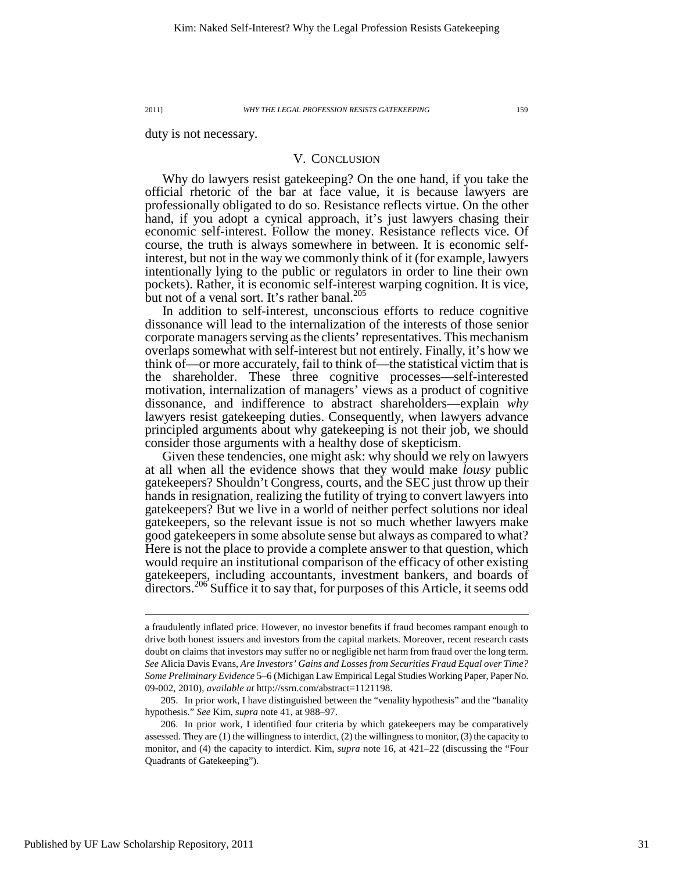duty is not necessary.

## V. CONCLUSION

Why do lawyers resist gatekeeping? On the one hand, if you take the official rhetoric of the bar at face value, it is because lawyers are professionally obligated to do so. Resistance reflects virtue. On the other hand, if you adopt a cynical approach, it's just lawyers chasing their economic self-interest. Follow the money. Resistance reflects vice. Of course, the truth is always somewhere in between. It is economic selfinterest, but not in the way we commonly think of it (for example, lawyers intentionally lying to the public or regulators in order to line their own pockets). Rather, it is economic self-interest warping cognition. It is vice, but not of a venal sort. It's rather banal.<sup>2</sup>

In addition to self-interest, unconscious efforts to reduce cognitive dissonance will lead to the internalization of the interests of those senior corporate managers serving as the clients' representatives. This mechanism overlaps somewhat with self-interest but not entirely. Finally, it's how we think of—or more accurately, fail to think of—the statistical victim that is the shareholder. These three cognitive processes—self-interested motivation, internalization of managers' views as a product of cognitive dissonance, and indifference to abstract shareholders—explain *why* lawyers resist gatekeeping duties. Consequently, when lawyers advance principled arguments about why gatekeeping is not their job, we should consider those arguments with a healthy dose of skepticism.

Given these tendencies, one might ask: why should we rely on lawyers at all when all the evidence shows that they would make *lousy* public gatekeepers? Shouldn't Congress, courts, and the SEC just throw up their hands in resignation, realizing the futility of trying to convert lawyers into gatekeepers? But we live in a world of neither perfect solutions nor ideal gatekeepers, so the relevant issue is not so much whether lawyers make good gatekeepers in some absolute sense but always as compared to what? Here is not the place to provide a complete answer to that question, which would require an institutional comparison of the efficacy of other existing gatekeepers, including accountants, investment bankers, and boards of directors.<sup>206</sup> Suffice it to say that, for purposes of this Article, it seems odd

 205. In prior work, I have distinguished between the "venality hypothesis" and the "banality hypothesis." *See* Kim, *supra* note 41, at 988–97.

a fraudulently inflated price. However, no investor benefits if fraud becomes rampant enough to drive both honest issuers and investors from the capital markets. Moreover, recent research casts doubt on claims that investors may suffer no or negligible net harm from fraud over the long term. *See* Alicia Davis Evans, *Are Investors' Gains and Losses from Securities Fraud Equal over Time? Some Preliminary Evidence* 5–6 (Michigan Law Empirical Legal Studies Working Paper, Paper No. 09-002, 2010), *available at* http://ssrn.com/abstract=1121198.

 <sup>206.</sup> In prior work, I identified four criteria by which gatekeepers may be comparatively assessed. They are (1) the willingness to interdict, (2) the willingness to monitor, (3) the capacity to monitor, and (4) the capacity to interdict. Kim, *supra* note 16, at 421–22 (discussing the "Four Quadrants of Gatekeeping").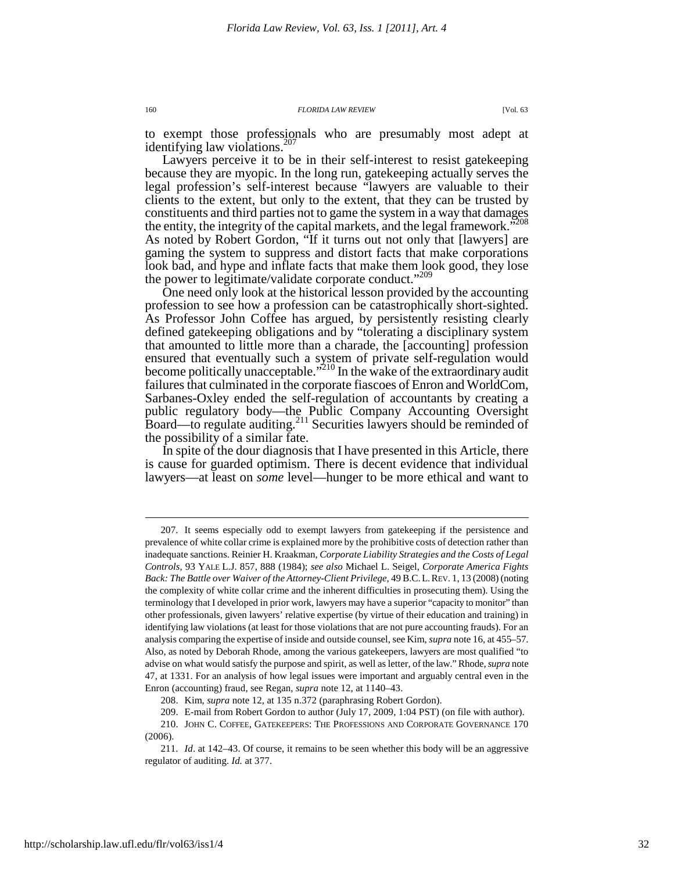to exempt those professionals who are presumably most adept at identifying law violations. $207$ 

Lawyers perceive it to be in their self-interest to resist gatekeeping because they are myopic. In the long run, gatekeeping actually serves the legal profession's self-interest because "lawyers are valuable to their clients to the extent, but only to the extent, that they can be trusted by constituents and third parties not to game the system in a way that damages the entity, the integrity of the capital markets, and the legal framework.<sup>5208</sup> As noted by Robert Gordon, "If it turns out not only that [lawyers] are gaming the system to suppress and distort facts that make corporations look bad, and hype and inflate facts that make them look good, they lose the power to legitimate/validate corporate conduct."<sup>209</sup>

One need only look at the historical lesson provided by the accounting profession to see how a profession can be catastrophically short-sighted. As Professor John Coffee has argued, by persistently resisting clearly defined gatekeeping obligations and by "tolerating a disciplinary system that amounted to little more than a charade, the [accounting] profession ensured that eventually such a system of private self-regulation would become politically unacceptable."<sup>210</sup> In the wake of the extraordinary audit failures that culminated in the corporate fiascoes of Enron and WorldCom, Sarbanes-Oxley ended the self-regulation of accountants by creating a public regulatory body—the Public Company Accounting Oversight Board—to regulate auditing.<sup>211</sup> Securities lawyers should be reminded of the possibility of a similar fate.

In spite of the dour diagnosis that I have presented in this Article, there is cause for guarded optimism. There is decent evidence that individual lawyers—at least on *some* level—hunger to be more ethical and want to

 <sup>207.</sup> It seems especially odd to exempt lawyers from gatekeeping if the persistence and prevalence of white collar crime is explained more by the prohibitive costs of detection rather than inadequate sanctions. Reinier H. Kraakman, *Corporate Liability Strategies and the Costs of Legal Controls*, 93 YALE L.J. 857, 888 (1984); *see also* Michael L. Seigel, *Corporate America Fights Back: The Battle over Waiver of the Attorney-Client Privilege*, 49 B.C. L. REV. 1, 13 (2008) (noting the complexity of white collar crime and the inherent difficulties in prosecuting them). Using the terminology that I developed in prior work, lawyers may have a superior "capacity to monitor" than other professionals, given lawyers' relative expertise (by virtue of their education and training) in identifying law violations (at least for those violations that are not pure accounting frauds). For an analysis comparing the expertise of inside and outside counsel, see Kim, *supra* note 16, at 455–57. Also, as noted by Deborah Rhode, among the various gatekeepers, lawyers are most qualified "to advise on what would satisfy the purpose and spirit, as well as letter, of the law." Rhode, *supra* note 47, at 1331. For an analysis of how legal issues were important and arguably central even in the Enron (accounting) fraud, see Regan, *supra* note 12, at 1140–43.

 <sup>208.</sup> Kim, *supra* note 12, at 135 n.372 (paraphrasing Robert Gordon).

 <sup>209.</sup> E-mail from Robert Gordon to author (July 17, 2009, 1:04 PST) (on file with author).

 <sup>210.</sup> JOHN C. COFFEE, GATEKEEPERS: THE PROFESSIONS AND CORPORATE GOVERNANCE 170 (2006).

 <sup>211.</sup> *Id*. at 142–43. Of course, it remains to be seen whether this body will be an aggressive regulator of auditing. *Id.* at 377.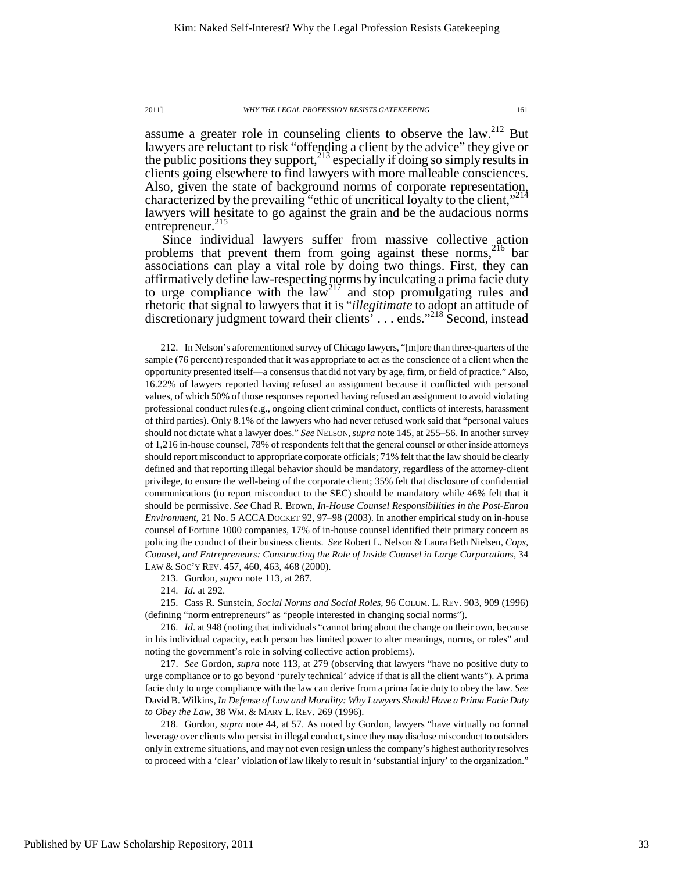assume a greater role in counseling clients to observe the law.<sup>212</sup> But lawyers are reluctant to risk "offending a client by the advice" they give or the public positions they support,  $2^{13}$  especially if doing so simply results in clients going elsewhere to find lawyers with more malleable consciences. Also, given the state of background norms of corporate representation, characterized by the prevailing "ethic of uncritical loyalty to the client,"<sup>214</sup> lawyers will hesitate to go against the grain and be the audacious norms entrepreneur.<sup>215</sup>

Since individual lawyers suffer from massive collective action problems that prevent them from going against these norms,<sup>216</sup> bar associations can play a vital role by doing two things. First, they can affirmatively define law-respecting norms by inculcating a prima facie duty to urge compliance with the  $law<sup>217</sup>$  and stop promulgating rules and rhetoric that signal to lawyers that it is "*illegitimate* to adopt an attitude of discretionary judgment toward their clients<sup>3</sup> . . . ends."<sup>218</sup> Second, instead

213. Gordon, *supra* note 113, at 287.

214. *Id.* at 292.

 $\overline{a}$ 

 215. Cass R. Sunstein, *Social Norms and Social Roles*, 96 COLUM. L. REV. 903, 909 (1996) (defining "norm entrepreneurs" as "people interested in changing social norms").

 216. *Id*. at 948 (noting that individuals "cannot bring about the change on their own, because in his individual capacity, each person has limited power to alter meanings, norms, or roles" and noting the government's role in solving collective action problems).

 217. *See* Gordon, *supra* note 113, at 279 (observing that lawyers "have no positive duty to urge compliance or to go beyond 'purely technical' advice if that is all the client wants"). A prima facie duty to urge compliance with the law can derive from a prima facie duty to obey the law. *See* David B. Wilkins, *In Defense of Law and Morality: Why Lawyers Should Have a Prima Facie Duty to Obey the Law*, 38 WM. & MARY L. REV. 269 (1996).

 218. Gordon, *supra* note 44, at 57. As noted by Gordon, lawyers "have virtually no formal leverage over clients who persist in illegal conduct, since they may disclose misconduct to outsiders only in extreme situations, and may not even resign unless the company's highest authority resolves to proceed with a 'clear' violation of law likely to result in 'substantial injury' to the organization."

 <sup>212.</sup> In Nelson's aforementioned survey of Chicago lawyers, "[m]ore than three-quarters of the sample (76 percent) responded that it was appropriate to act as the conscience of a client when the opportunity presented itself—a consensus that did not vary by age, firm, or field of practice." Also, 16.22% of lawyers reported having refused an assignment because it conflicted with personal values, of which 50% of those responses reported having refused an assignment to avoid violating professional conduct rules (e.g., ongoing client criminal conduct, conflicts of interests, harassment of third parties). Only 8.1% of the lawyers who had never refused work said that "personal values should not dictate what a lawyer does." *See* NELSON,*supra* note 145, at 255–56. In another survey of 1,216 in-house counsel, 78% of respondents felt that the general counsel or other inside attorneys should report misconduct to appropriate corporate officials; 71% felt that the law should be clearly defined and that reporting illegal behavior should be mandatory, regardless of the attorney-client privilege, to ensure the well-being of the corporate client; 35% felt that disclosure of confidential communications (to report misconduct to the SEC) should be mandatory while 46% felt that it should be permissive. *See* Chad R. Brown, *In-House Counsel Responsibilities in the Post-Enron Environment*, 21 No. 5 ACCA DOCKET 92, 97–98 (2003). In another empirical study on in-house counsel of Fortune 1000 companies, 17% of in-house counsel identified their primary concern as policing the conduct of their business clients. *See* Robert L. Nelson & Laura Beth Nielsen, *Cops, Counsel, and Entrepreneurs: Constructing the Role of Inside Counsel in Large Corporations*, 34 LAW & SOC'Y REV. 457, 460, 463, 468 (2000).